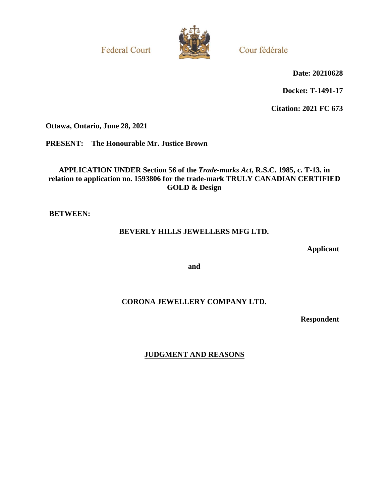**Federal Court** 



Cour fédérale

**Date: 20210628**

**Docket: T-1491-17**

**Citation: 2021 FC 673**

**Ottawa, Ontario, June 28, 2021**

**PRESENT: The Honourable Mr. Justice Brown**

**APPLICATION UNDER Section 56 of the** *Trade-marks Act***, R.S.C. 1985, c. T-13, in relation to application no. 1593806 for the trade-mark TRULY CANADIAN CERTIFIED GOLD & Design**

**BETWEEN:**

# **BEVERLY HILLS JEWELLERS MFG LTD.**

**Applicant**

**and**

# **CORONA JEWELLERY COMPANY LTD.**

**Respondent**

**JUDGMENT AND REASONS**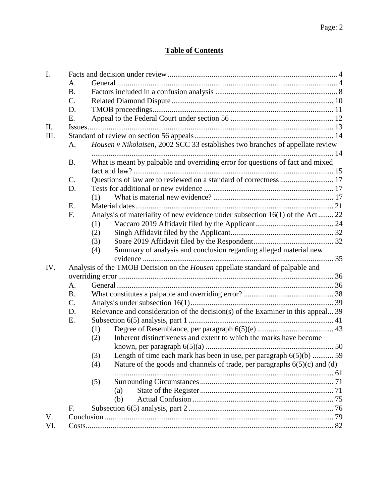# **Table of Contents**

| I.   |                 |                                                                                       |  |
|------|-----------------|---------------------------------------------------------------------------------------|--|
|      | A.              |                                                                                       |  |
|      | <b>B.</b>       |                                                                                       |  |
|      | C.              |                                                                                       |  |
|      | D.              |                                                                                       |  |
|      | Ε.              |                                                                                       |  |
| II.  |                 |                                                                                       |  |
| III. |                 |                                                                                       |  |
|      | A.              | Housen v Nikolaisen, 2002 SCC 33 establishes two branches of appellate review         |  |
|      |                 |                                                                                       |  |
|      | <b>B.</b>       | What is meant by palpable and overriding error for questions of fact and mixed        |  |
|      |                 |                                                                                       |  |
|      | C.              | Questions of law are to reviewed on a standard of correctness  17                     |  |
|      | D.              |                                                                                       |  |
|      |                 | (1)                                                                                   |  |
|      | E.              |                                                                                       |  |
|      | F.              | Analysis of materiality of new evidence under subsection 16(1) of the Act 22          |  |
|      |                 | (1)                                                                                   |  |
|      |                 | (2)                                                                                   |  |
|      |                 | (3)                                                                                   |  |
|      |                 | Summary of analysis and conclusion regarding alleged material new<br>(4)              |  |
|      |                 |                                                                                       |  |
| IV.  |                 | Analysis of the TMOB Decision on the <i>Housen</i> appellate standard of palpable and |  |
|      |                 |                                                                                       |  |
|      | A.              |                                                                                       |  |
|      | <b>B.</b>       |                                                                                       |  |
|      | $\mathcal{C}$ . |                                                                                       |  |
|      | D.              | Relevance and consideration of the decision(s) of the Examiner in this appeal 39      |  |
|      | Ε.              |                                                                                       |  |
|      |                 | (1)                                                                                   |  |
|      |                 | Inherent distinctiveness and extent to which the marks have become<br>(2)             |  |
|      |                 |                                                                                       |  |
|      |                 | Length of time each mark has been in use, per paragraph $6(5)(b)$ 59<br>(3)           |  |
|      |                 | Nature of the goods and channels of trade, per paragraphs $6(5)(c)$ and (d)<br>(4)    |  |
|      |                 |                                                                                       |  |
|      |                 | (5)                                                                                   |  |
|      |                 | (a)                                                                                   |  |
|      |                 | (b)                                                                                   |  |
|      | F.              |                                                                                       |  |
| V.   |                 |                                                                                       |  |
| VI.  |                 |                                                                                       |  |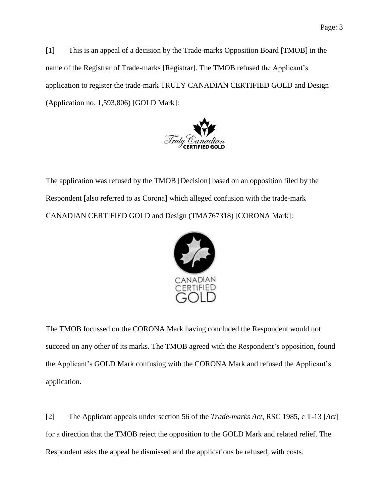[1] This is an appeal of a decision by the Trade-marks Opposition Board [TMOB] in the name of the Registrar of Trade-marks [Registrar]. The TMOB refused the Applicant's application to register the trade-mark TRULY CANADIAN CERTIFIED GOLD and Design (Application no. 1,593,806) [GOLD Mark]:



The application was refused by the TMOB [Decision] based on an opposition filed by the Respondent [also referred to as Corona] which alleged confusion with the trade-mark CANADIAN CERTIFIED GOLD and Design (TMA767318) [CORONA Mark]:



The TMOB focussed on the CORONA Mark having concluded the Respondent would not succeed on any other of its marks. The TMOB agreed with the Respondent's opposition, found the Applicant's GOLD Mark confusing with the CORONA Mark and refused the Applicant's application.

[2] The Applicant appeals under section 56 of the *Trade-marks Act*, RSC 1985, c T-13 [*Act*] for a direction that the TMOB reject the opposition to the GOLD Mark and related relief. The Respondent asks the appeal be dismissed and the applications be refused, with costs.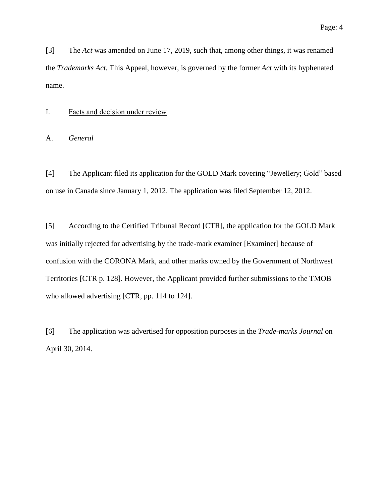[3] The *Act* was amended on June 17, 2019, such that, among other things, it was renamed the *Trademarks Act.* This Appeal, however, is governed by the former *Act* with its hyphenated name.

#### <span id="page-3-0"></span>I. Facts and decision under review

<span id="page-3-1"></span>A. *General*

[4] The Applicant filed its application for the GOLD Mark covering "Jewellery; Gold" based on use in Canada since January 1, 2012. The application was filed September 12, 2012.

[5] According to the Certified Tribunal Record [CTR], the application for the GOLD Mark was initially rejected for advertising by the trade-mark examiner [Examiner] because of confusion with the CORONA Mark, and other marks owned by the Government of Northwest Territories [CTR p. 128]. However, the Applicant provided further submissions to the TMOB who allowed advertising [CTR, pp. 114 to 124].

[6] The application was advertised for opposition purposes in the *Trade-marks Journal* on April 30, 2014.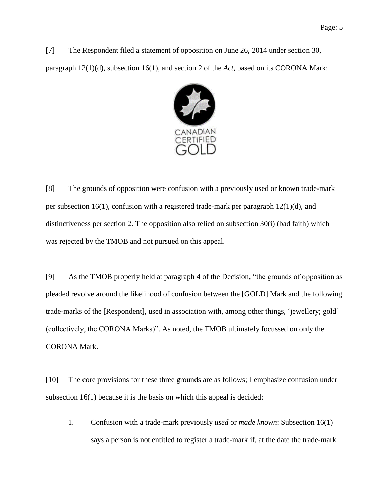[7] The Respondent filed a statement of opposition on June 26, 2014 under section 30, paragraph 12(1)(d), subsection 16(1), and section 2 of the *Act*, based on its CORONA Mark:



[8] The grounds of opposition were confusion with a previously used or known trade-mark per subsection 16(1), confusion with a registered trade-mark per paragraph 12(1)(d), and distinctiveness per section 2. The opposition also relied on subsection 30(i) (bad faith) which was rejected by the TMOB and not pursued on this appeal.

[9] As the TMOB properly held at paragraph 4 of the Decision, "the grounds of opposition as pleaded revolve around the likelihood of confusion between the [GOLD] Mark and the following trade-marks of the [Respondent], used in association with, among other things, 'jewellery; gold' (collectively, the CORONA Marks)". As noted, the TMOB ultimately focussed on only the CORONA Mark.

[10] The core provisions for these three grounds are as follows; I emphasize confusion under subsection 16(1) because it is the basis on which this appeal is decided:

1. Confusion with a trade-mark previously *used* or *made known*: Subsection 16(1) says a person is not entitled to register a trade-mark if, at the date the trade-mark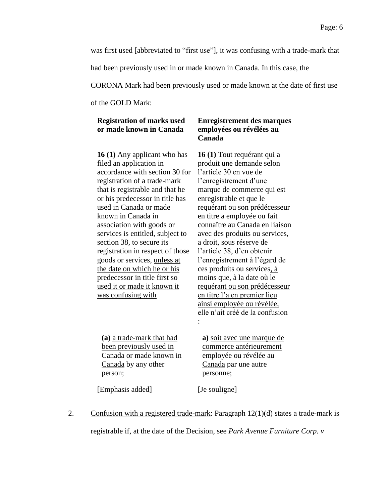was first used [abbreviated to "first use"], it was confusing with a trade-mark that

had been previously used in or made known in Canada. In this case, the

CORONA Mark had been previously used or made known at the date of first use

of the GOLD Mark:

### **Registration of marks used or made known in Canada**

**16 (1)** Any applicant who has filed an application in accordance with section 30 for registration of a trade-mark that is registrable and that he or his predecessor in title has used in Canada or made known in Canada in association with goods or services is entitled, subject to section 38, to secure its registration in respect of those goods or services, unless at the date on which he or his predecessor in title first so used it or made it known it was confusing with

### **Enregistrement des marques employées ou révélées au Canada**

**16 (1)** Tout requérant qui a produit une demande selon l'article 30 en vue de l'enregistrement d'une marque de commerce qui est enregistrable et que le requérant ou son prédécesseur en titre a employée ou fait connaître au Canada en liaison avec des produits ou services, a droit, sous réserve de l'article 38, d'en obtenir l'enregistrement à l'égard de ces produits ou services, à moins que, à la date où le requérant ou son prédécesseur en titre l'a en premier lieu ainsi employée ou révélée, elle n'ait créé de la confusion :

**(a)** a trade-mark that had been previously used in Canada or made known in Canada by any other person;

**a)** soit avec une marque de commerce antérieurement employée ou révélée au Canada par une autre personne;

[Emphasis added] [Je souligne]

2. Confusion with a registered trade-mark: Paragraph 12(1)(d) states a trade-mark is

registrable if, at the date of the Decision, see *Park Avenue Furniture Corp. v*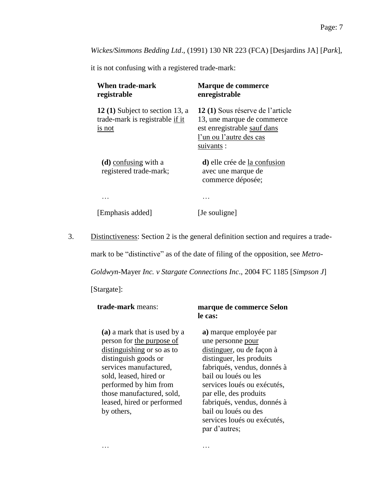*Wickes/Simmons Bedding Ltd*., (1991) 130 NR 223 (FCA) [Desjardins JA] [*Park*],

it is not confusing with a registered trade-mark:

| <b>When trade-mark</b><br>registrable                                       | Marque de commerce<br>enregistrable                                                                                                   |
|-----------------------------------------------------------------------------|---------------------------------------------------------------------------------------------------------------------------------------|
| 12(1) Subject to section 13, a<br>trade-mark is registrable if it<br>is not | 12(1) Sous réserve de l'article<br>13, une marque de commerce<br>est enregistrable sauf dans<br>l'un ou l'autre des cas<br>suivants : |
| $(d)$ confusing with a<br>registered trade-mark;                            | d) elle crée de la confusion<br>avec une marque de<br>commerce déposée;                                                               |
|                                                                             |                                                                                                                                       |

… …

[Emphasis added] [Je souligne]

3. Distinctiveness: Section 2 is the general definition section and requires a trade-

mark to be "distinctive" as of the date of filing of the opposition, see *Metro-*

*Goldwyn-*Mayer *Inc. v Stargate Connections Inc*., 2004 FC 1185 [*Simpson J*]

[Stargate]:

| trade-mark means:            | marque de commerce Selon<br>le cas: |  |
|------------------------------|-------------------------------------|--|
| (a) a mark that is used by a | a) marque employée par              |  |
| person for the purpose of    | une personne pour                   |  |
| distinguishing or so as to   | distinguer, ou de façon à           |  |
| distinguish goods or         | distinguer, les produits            |  |
| services manufactured,       | fabriqués, vendus, donnés à         |  |
| sold, leased, hired or       | bail ou loués ou les                |  |
| performed by him from        | services loués ou exécutés,         |  |
| those manufactured, sold,    | par elle, des produits              |  |
| leased, hired or performed   | fabriqués, vendus, donnés à         |  |
| by others,                   | bail ou loués ou des                |  |
|                              | services loués ou exécutés,         |  |

par d'autres;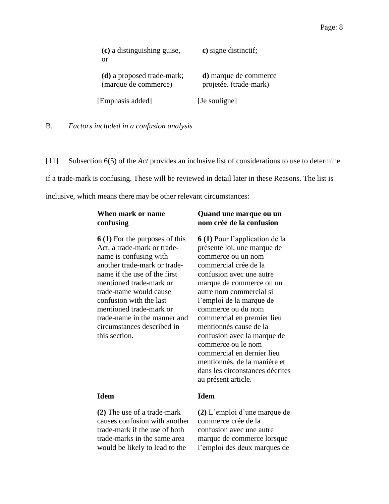| (c) a distinguishing guise,<br>or                  | c) signe distinctif;                                    |
|----------------------------------------------------|---------------------------------------------------------|
| (d) a proposed trade-mark;<br>(marque de commerce) | <b>d</b> ) marque de commerce<br>projetée. (trade-mark) |
| [Emphasis added]                                   | [Je souligne]                                           |

<span id="page-7-0"></span>B. *Factors included in a confusion analysis*

[11] Subsection 6(5) of the *Act* provides an inclusive list of considerations to use to determine if a trade-mark is confusing. These will be reviewed in detail later in these Reasons. The list is inclusive, which means there may be other relevant circumstances:

# **When mark or name confusing**

**6 (1)** For the purposes of this Act, a trade-mark or tradename is confusing with another trade-mark or tradename if the use of the first mentioned trade-mark or trade-name would cause confusion with the last mentioned trade-mark or trade-name in the manner and circumstances described in this section.

**(2)** The use of a trade-mark causes confusion with another trade-mark if the use of both trade-marks in the same area would be likely to lead to the

# **Quand une marque ou un nom crée de la confusion**

**6 (1)** Pour l'application de la présente loi, une marque de commerce ou un nom commercial crée de la confusion avec une autre marque de commerce ou un autre nom commercial si l'emploi de la marque de commerce ou du nom commercial en premier lieu mentionnés cause de la confusion avec la marque de commerce ou le nom commercial en dernier lieu mentionnés, de la manière et dans les circonstances décrites au présent article.

### **Idem Idem**

**(2)** L'emploi d'une marque de commerce crée de la confusion avec une autre marque de commerce lorsque l'emploi des deux marques de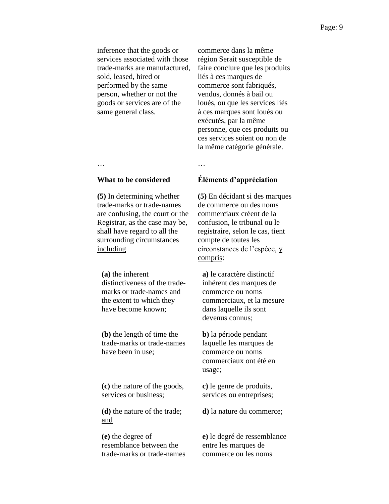inference that the goods or services associated with those trade-marks are manufactured, sold, leased, hired or performed by the same person, whether or not the goods or services are of the same general class.

commerce dans la même région Serait susceptible de faire conclure que les produits liés à ces marques de commerce sont fabriqués, vendus, donnés à bail ou loués, ou que les services liés à ces marques sont loués ou exécutés, par la même personne, que ces produits ou ces services soient ou non de la même catégorie générale.

… …

#### **What to be considered Éléments d'appréciation**

**(5)** En décidant si des marques de commerce ou des noms commerciaux créent de la confusion, le tribunal ou le registraire, selon le cas, tient compte de toutes les circonstances de l'espèce, y compris:

**a)** le caractère distinctif inhérent des marques de commerce ou noms commerciaux, et la mesure dans laquelle ils sont devenus connus;

**b)** la période pendant laquelle les marques de commerce ou noms commerciaux ont été en usage;

**c)** le genre de produits, services ou entreprises;

**d)** la nature du commerce;

**e)** le degré de ressemblance entre les marques de commerce ou les noms

**(5)** In determining whether trade-marks or trade-names are confusing, the court or the Registrar, as the case may be, shall have regard to all the surrounding circumstances including

**(a)** the inherent distinctiveness of the trademarks or trade-names and the extent to which they have become known;

**(b)** the length of time the trade-marks or trade-names have been in use;

**(c)** the nature of the goods, services or business;

**(d)** the nature of the trade; and

**(e)** the degree of resemblance between the trade-marks or trade-names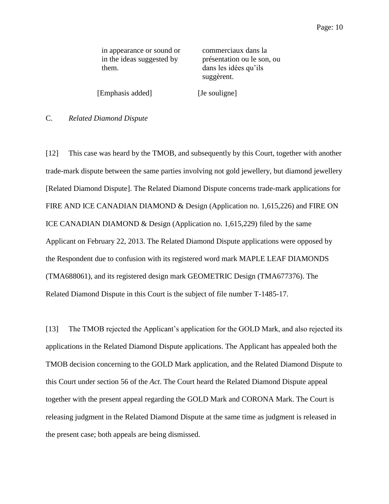in appearance or sound or in the ideas suggested by them.

commerciaux dans la présentation ou le son, ou dans les idées qu'ils suggèrent.

[Emphasis added] [Je souligne]

#### <span id="page-9-0"></span>C. *Related Diamond Dispute*

[12] This case was heard by the TMOB, and subsequently by this Court, together with another trade-mark dispute between the same parties involving not gold jewellery, but diamond jewellery [Related Diamond Dispute]. The Related Diamond Dispute concerns trade-mark applications for FIRE AND ICE CANADIAN DIAMOND & Design (Application no. 1,615,226) and FIRE ON ICE CANADIAN DIAMOND & Design (Application no. 1,615,229) filed by the same Applicant on February 22, 2013. The Related Diamond Dispute applications were opposed by the Respondent due to confusion with its registered word mark MAPLE LEAF DIAMONDS (TMA688061), and its registered design mark GEOMETRIC Design (TMA677376). The Related Diamond Dispute in this Court is the subject of file number T-1485-17.

[13] The TMOB rejected the Applicant's application for the GOLD Mark, and also rejected its applications in the Related Diamond Dispute applications. The Applicant has appealed both the TMOB decision concerning to the GOLD Mark application, and the Related Diamond Dispute to this Court under section 56 of the *Act*. The Court heard the Related Diamond Dispute appeal together with the present appeal regarding the GOLD Mark and CORONA Mark. The Court is releasing judgment in the Related Diamond Dispute at the same time as judgment is released in the present case; both appeals are being dismissed.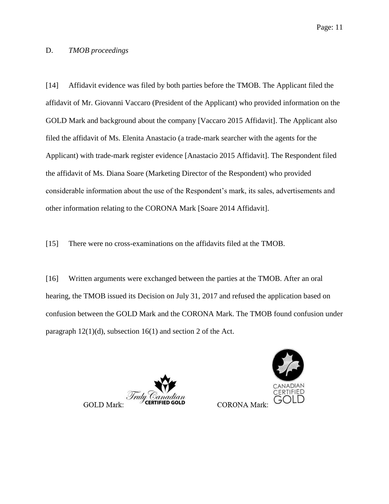#### <span id="page-10-0"></span>D. *TMOB proceedings*

[14] Affidavit evidence was filed by both parties before the TMOB. The Applicant filed the affidavit of Mr. Giovanni Vaccaro (President of the Applicant) who provided information on the GOLD Mark and background about the company [Vaccaro 2015 Affidavit]. The Applicant also filed the affidavit of Ms. Elenita Anastacio (a trade-mark searcher with the agents for the Applicant) with trade-mark register evidence [Anastacio 2015 Affidavit]. The Respondent filed the affidavit of Ms. Diana Soare (Marketing Director of the Respondent) who provided considerable information about the use of the Respondent's mark, its sales, advertisements and other information relating to the CORONA Mark [Soare 2014 Affidavit].

[15] There were no cross-examinations on the affidavits filed at the TMOB.

[16] Written arguments were exchanged between the parties at the TMOB. After an oral hearing, the TMOB issued its Decision on July 31, 2017 and refused the application based on confusion between the GOLD Mark and the CORONA Mark. The TMOB found confusion under paragraph 12(1)(d), subsection 16(1) and section 2 of the Act.

Truly ( **GOLD Mark:** 



**CORONA Mark**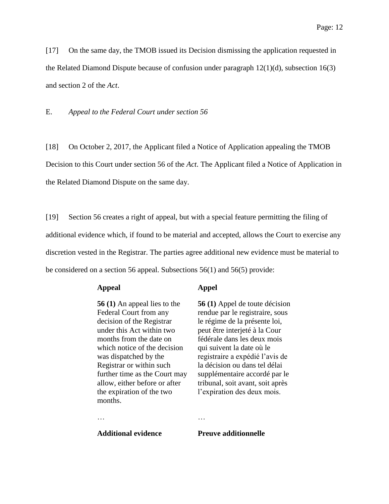[17] On the same day, the TMOB issued its Decision dismissing the application requested in the Related Diamond Dispute because of confusion under paragraph 12(1)(d), subsection 16(3) and section 2 of the *Act*.

<span id="page-11-0"></span>E. *Appeal to the Federal Court under section 56*

[18] On October 2, 2017, the Applicant filed a Notice of Application appealing the TMOB Decision to this Court under section 56 of the *Act*. The Applicant filed a Notice of Application in the Related Diamond Dispute on the same day.

[19] Section 56 creates a right of appeal, but with a special feature permitting the filing of additional evidence which, if found to be material and accepted, allows the Court to exercise any discretion vested in the Registrar. The parties agree additional new evidence must be material to be considered on a section 56 appeal. Subsections 56(1) and 56(5) provide:

#### **Appeal Appel**

**56 (1)** An appeal lies to the Federal Court from any decision of the Registrar under this Act within two months from the date on which notice of the decision was dispatched by the Registrar or within such further time as the Court may allow, either before or after the expiration of the two months.

… …

**56 (1)** Appel de toute décision rendue par le registraire, sous le régime de la présente loi, peut être interjeté à la Cour fédérale dans les deux mois qui suivent la date où le registraire a expédié l'avis de la décision ou dans tel délai supplémentaire accordé par le tribunal, soit avant, soit après l'expiration des deux mois.

**Additional evidence Preuve additionnelle**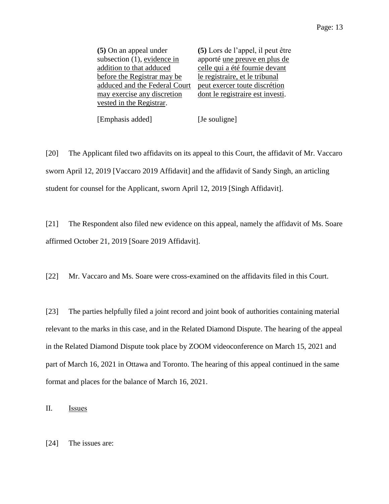| (5) On an appeal under        | (5) Lors de l'appel, il peut être |
|-------------------------------|-----------------------------------|
| subsection (1), evidence in   | apporté une preuve en plus de     |
| addition to that adduced      | celle qui a été fournie devant    |
| before the Registrar may be   | le registraire, et le tribunal    |
| adduced and the Federal Court | peut exercer toute discrétion     |
| may exercise any discretion   | dont le registraire est investi.  |
| vested in the Registrar.      |                                   |
|                               |                                   |

[Emphasis added] [Je souligne]

[20] The Applicant filed two affidavits on its appeal to this Court, the affidavit of Mr. Vaccaro sworn April 12, 2019 [Vaccaro 2019 Affidavit] and the affidavit of Sandy Singh, an articling student for counsel for the Applicant, sworn April 12, 2019 [Singh Affidavit].

[21] The Respondent also filed new evidence on this appeal, namely the affidavit of Ms. Soare affirmed October 21, 2019 [Soare 2019 Affidavit].

[22] Mr. Vaccaro and Ms. Soare were cross-examined on the affidavits filed in this Court.

[23] The parties helpfully filed a joint record and joint book of authorities containing material relevant to the marks in this case, and in the Related Diamond Dispute. The hearing of the appeal in the Related Diamond Dispute took place by ZOOM videoconference on March 15, 2021 and part of March 16, 2021 in Ottawa and Toronto. The hearing of this appeal continued in the same format and places for the balance of March 16, 2021.

<span id="page-12-0"></span>II. Issues

[24] The issues are: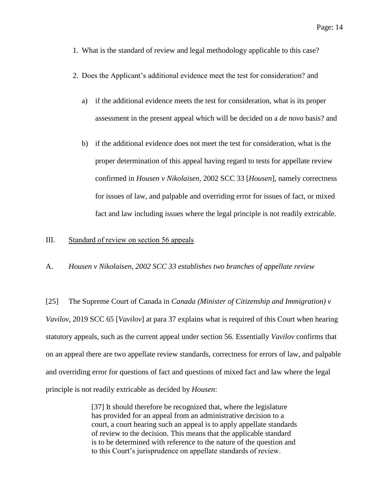- 1. What is the standard of review and legal methodology applicable to this case?
- 2. Does the Applicant's additional evidence meet the test for consideration? and
	- a) if the additional evidence meets the test for consideration, what is its proper assessment in the present appeal which will be decided on a *de novo* basis? and
	- b) if the additional evidence does not meet the test for consideration, what is the proper determination of this appeal having regard to tests for appellate review confirmed in *Housen v Nikolaisen*, 2002 SCC 33 [*Housen*], namely correctness for issues of law, and palpable and overriding error for issues of fact, or mixed fact and law including issues where the legal principle is not readily extricable.

#### <span id="page-13-0"></span>III. Standard of review on section 56 appeals

<span id="page-13-1"></span>A. *Housen v Nikolaisen, 2002 SCC 33 establishes two branches of appellate review*

[25] The Supreme Court of Canada in *Canada (Minister of Citizenship and Immigration) v Vavilov*, 2019 SCC 65 [*Vavilov*] at para 37 explains what is required of this Court when hearing statutory appeals, such as the current appeal under section 56. Essentially *Vavilov* confirms that on an appeal there are two appellate review standards, correctness for errors of law, and palpable and overriding error for questions of fact and questions of mixed fact and law where the legal principle is not readily extricable as decided by *Housen*:

> [37] It should therefore be recognized that, where the legislature has provided for an appeal from an administrative decision to a court, a court hearing such an appeal is to apply appellate standards of review to the decision. This means that the applicable standard is to be determined with reference to the nature of the question and to this Court's jurisprudence on appellate standards of review.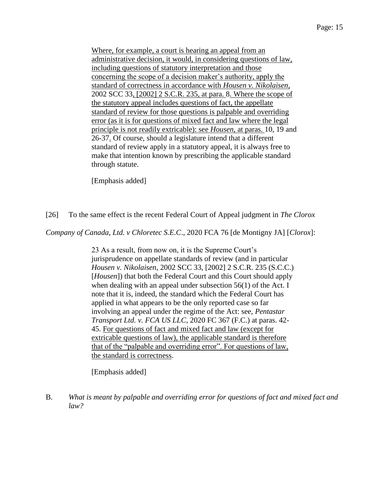Where, for example, a court is hearing an appeal from an administrative decision, it would, in considering questions of law, including questions of statutory interpretation and those concerning the scope of a decision maker's authority, apply the standard of correctness in accordance with *Housen v. Nikolaisen*, 2002 SCC 33, [2002] 2 S.C.R. 235, at para. 8. Where the scope of the statutory appeal includes questions of fact, the appellate standard of review for those questions is palpable and overriding error (as it is for questions of mixed fact and law where the legal principle is not readily extricable): see *Housen*, at paras. 10, 19 and 26-37. Of course, should a legislature intend that a different standard of review apply in a statutory appeal, it is always free to make that intention known by prescribing the applicable standard through statute.

[Emphasis added]

[26] To the same effect is the recent Federal Court of Appeal judgment in *The Clorox* 

*Company of Canada, Ltd. v Chloretec S.E.C*., 2020 FCA 76 [de Montigny JA] [*Clorox*]:

23 As a result, from now on, it is the Supreme Court's jurisprudence on appellate standards of review (and in particular *Housen v. Nikolaisen*, 2002 SCC 33, [2002] 2 S.C.R. 235 (S.C.C.) [*Housen*]) that both the Federal Court and this Court should apply when dealing with an appeal under subsection 56(1) of the Act. I note that it is, indeed, the standard which the Federal Court has applied in what appears to be the only reported case so far involving an appeal under the regime of the Act: see, *Pentastar Transport Ltd. v. FCA US LLC*, 2020 FC 367 (F.C.) at paras. 42- 45. For questions of fact and mixed fact and law (except for extricable questions of law), the applicable standard is therefore that of the "palpable and overriding error". For questions of law, the standard is correctness.

[Emphasis added]

<span id="page-14-0"></span>B. *What is meant by palpable and overriding error for questions of fact and mixed fact and law?*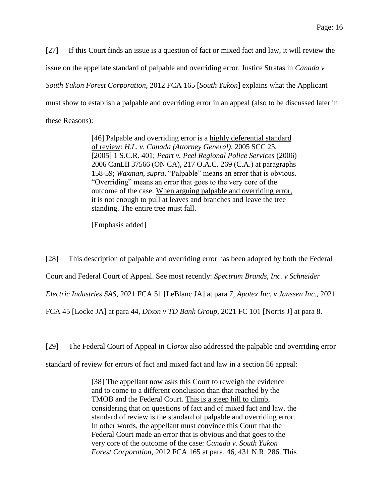[27] If this Court finds an issue is a question of fact or mixed fact and law, it will review the issue on the appellate standard of palpable and overriding error. Justice Stratas in *Canada v South Yukon Forest Corporation*, 2012 FCA 165 [*South Yukon*] explains what the Applicant must show to establish a palpable and overriding error in an appeal (also to be discussed later in these Reasons):

> [46] Palpable and overriding error is a highly deferential standard of review: *H.L. v. Canada (Attorney General)*, 2005 SCC 25, [2005] 1 S.C.R. 401; *Peart v. Peel Regional Police Services* (2006) 2006 CanLII 37566 (ON CA), 217 O.A.C. 269 (C.A.) at paragraphs 158-59; *Waxman*, *supra*. "Palpable" means an error that is obvious. "Overriding" means an error that goes to the very core of the outcome of the case. When arguing palpable and overriding error, it is not enough to pull at leaves and branches and leave the tree standing. The entire tree must fall.

[Emphasis added]

[28] This description of palpable and overriding error has been adopted by both the Federal Court and Federal Court of Appeal. See most recently: *Spectrum Brands, Inc. v Schneider Electric Industries SAS*, 2021 FCA 51 [LeBlanc JA] at para 7, *Apotex Inc. v Janssen Inc.*, 2021 FCA 45 [Locke JA] at para 44, *Dixon v TD Bank Group*, 2021 FC 101 [Norris J] at para 8.

[29] The Federal Court of Appeal in *Clorox* also addressed the palpable and overriding error standard of review for errors of fact and mixed fact and law in a section 56 appeal:

> [38] The appellant now asks this Court to reweigh the evidence and to come to a different conclusion than that reached by the TMOB and the Federal Court. This is a steep hill to climb, considering that on questions of fact and of mixed fact and law, the standard of review is the standard of palpable and overriding error. In other words, the appellant must convince this Court that the Federal Court made an error that is obvious and that goes to the very core of the outcome of the case: *Canada v. South Yukon Forest Corporation*, 2012 FCA 165 at para. 46, 431 N.R. 286. This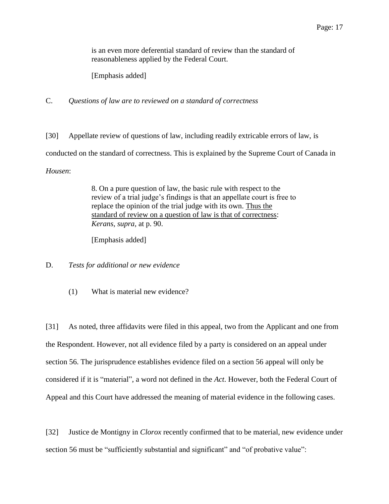is an even more deferential standard of review than the standard of reasonableness applied by the Federal Court.

[Emphasis added]

<span id="page-16-0"></span>C. *Questions of law are to reviewed on a standard of correctness*

[30] Appellate review of questions of law, including readily extricable errors of law, is conducted on the standard of correctness. This is explained by the Supreme Court of Canada in *Housen*:

> 8. On a pure question of law, the basic rule with respect to the review of a trial judge's findings is that an appellate court is free to replace the opinion of the trial judge with its own. Thus the standard of review on a question of law is that of correctness: *Kerans*, *supra*, at p. 90.

[Emphasis added]

<span id="page-16-2"></span><span id="page-16-1"></span>D. *Tests for additional or new evidence*

(1) What is material new evidence?

[31] As noted, three affidavits were filed in this appeal, two from the Applicant and one from the Respondent. However, not all evidence filed by a party is considered on an appeal under section 56. The jurisprudence establishes evidence filed on a section 56 appeal will only be considered if it is "material", a word not defined in the *Act*. However, both the Federal Court of Appeal and this Court have addressed the meaning of material evidence in the following cases.

[32] Justice de Montigny in *Clorox* recently confirmed that to be material, new evidence under section 56 must be "sufficiently substantial and significant" and "of probative value":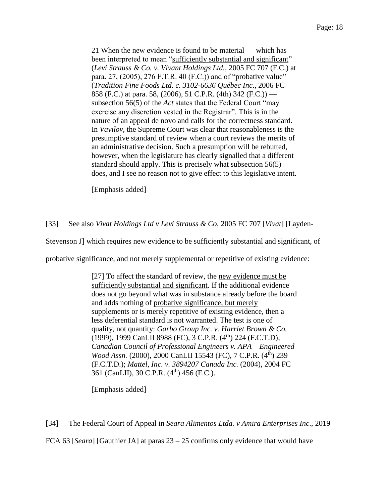21 When the new evidence is found to be material — which has been interpreted to mean "sufficiently substantial and significant" (*Levi Strauss & Co. v. Vivant Holdings Ltd.*, 2005 FC 707 (F.C.) at para. 27, (2005), 276 F.T.R. 40 (F.C.)) and of "probative value" (*Tradition Fine Foods Ltd. c. 3102-6636 Québec Inc*., 2006 FC 858 (F.C.) at para. 58, (2006), 51 C.P.R. (4th) 342 (F.C.)) subsection 56(5) of the *Act* states that the Federal Court "may exercise any discretion vested in the Registrar". This is in the nature of an appeal de novo and calls for the correctness standard. In *Vavilov*, the Supreme Court was clear that reasonableness is the presumptive standard of review when a court reviews the merits of an administrative decision. Such a presumption will be rebutted, however, when the legislature has clearly signalled that a different standard should apply. This is precisely what subsection 56(5) does, and I see no reason not to give effect to this legislative intent.

[Emphasis added]

[33] See also *Vivat Holdings Ltd v Levi Strauss & Co*, 2005 FC 707 [*Vivat*] [Layden-

Stevenson J] which requires new evidence to be sufficiently substantial and significant, of

probative significance, and not merely supplemental or repetitive of existing evidence:

[27] To affect the standard of review, the new evidence must be sufficiently substantial and significant. If the additional evidence does not go beyond what was in substance already before the board and adds nothing of probative significance, but merely supplements or is merely repetitive of existing evidence, then a less deferential standard is not warranted. The test is one of quality, not quantity: *Garbo Group Inc. v. Harriet Brown & Co.* (1999), 1999 CanLII 8988 (FC), 3 C.P.R.  $(4<sup>th</sup>)$  224 (F.C.T.D); *Canadian Council of Professional Engineers v. APA – Engineered Wood Assn.* (2000), 2000 CanLII 15543 (FC), 7 C.P.R. (4<sup>th</sup>) 239 (F.C.T.D.); *Mattel, Inc. v. 3894207 Canada Inc.* (2004), 2004 FC 361 (CanLII), 30 C.P.R. (4<sup>th</sup>) 456 (F.C.).

[Emphasis added]

[34] The Federal Court of Appeal in *Seara Alimentos Ltda. v Amira Enterprises Inc*., 2019

FCA 63 [*Seara*] [Gauthier JA] at paras 23 – 25 confirms only evidence that would have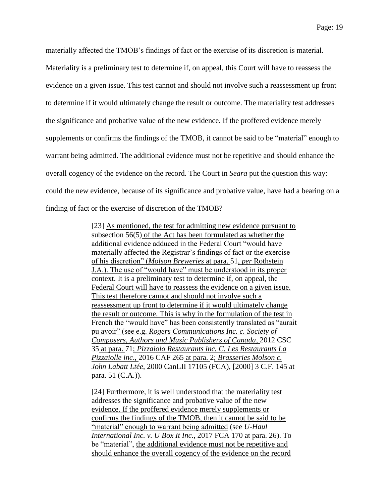materially affected the TMOB's findings of fact or the exercise of its discretion is material. Materiality is a preliminary test to determine if, on appeal, this Court will have to reassess the evidence on a given issue. This test cannot and should not involve such a reassessment up front to determine if it would ultimately change the result or outcome. The materiality test addresses the significance and probative value of the new evidence. If the proffered evidence merely supplements or confirms the findings of the TMOB, it cannot be said to be "material" enough to warrant being admitted. The additional evidence must not be repetitive and should enhance the overall cogency of the evidence on the record. The Court in *Seara* put the question this way: could the new evidence, because of its significance and probative value, have had a bearing on a finding of fact or the exercise of discretion of the TMOB?

> [23] As mentioned, the test for admitting new evidence pursuant to subsection 56(5) of the Act has been formulated as whether the additional evidence adduced in the Federal Court "would have materially affected the Registrar's findings of fact or the exercise of his discretion" (*Molson Breweries* at para. 51, *per* Rothstein J.A.). The use of "would have" must be understood in its proper context. It is a preliminary test to determine if, on appeal, the Federal Court will have to reassess the evidence on a given issue. This test therefore cannot and should not involve such a reassessment up front to determine if it would ultimately change the result or outcome. This is why in the formulation of the test in French the "would have" has been consistently translated as "aurait" pu avoir" (see e.g. *Rogers Communications Inc. c. Society of Composers, Authors and Music Publishers of Canada*, 2012 CSC 35 at para. 71; *Pizzaiolo Restaurants inc. C. Les Restaurants La Pizzaiolle inc*., 2016 CAF 265 at para. 2; *Brasseries Molson c. John Labatt Ltée*, 2000 CanLII 17105 (FCA), [2000] 3 C.F. 145 at para. 51 (C.A.)).

[24] Furthermore, it is well understood that the materiality test addresses the significance and probative value of the new evidence. If the proffered evidence merely supplements or confirms the findings of the TMOB, then it cannot be said to be "material" enough to warrant being admitted (see *U-Haul International Inc. v. U Box It Inc*., 2017 FCA 170 at para. 26). To be "material", the additional evidence must not be repetitive and should enhance the overall cogency of the evidence on the record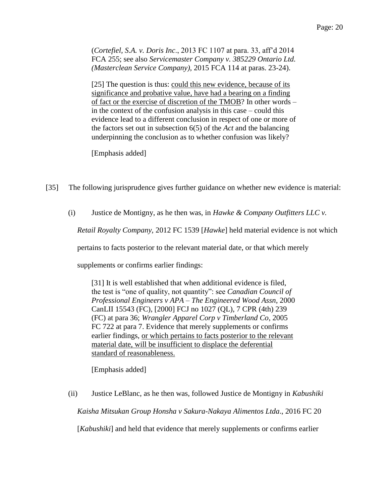(*Cortefiel, S.A. v. Doris Inc*., 2013 FC 1107 at para. 33, aff'd 2014 FCA 255; see also *Servicemaster Company v. 385229 Ontario Ltd. (Masterclean Service Company)*, 2015 FCA 114 at paras. 23-24).

[25] The question is thus: could this new evidence, because of its significance and probative value, have had a bearing on a finding of fact or the exercise of discretion of the TMOB? In other words – in the context of the confusion analysis in this case – could this evidence lead to a different conclusion in respect of one or more of the factors set out in subsection 6(5) of the *Act* and the balancing underpinning the conclusion as to whether confusion was likely?

[Emphasis added]

- [35] The following jurisprudence gives further guidance on whether new evidence is material:
	- (i) Justice de Montigny, as he then was, in *Hawke & Company Outfitters LLC v.*

*Retail Royalty Company,* 2012 FC 1539 [*Hawke*] held material evidence is not which

pertains to facts posterior to the relevant material date, or that which merely

supplements or confirms earlier findings:

[31] It is well established that when additional evidence is filed, the test is "one of quality, not quantity": see *Canadian Council of Professional Engineers v APA – The Engineered Wood Assn*, 2000 CanLII 15543 (FC), [2000] FCJ no 1027 (QL), 7 CPR (4th) 239 (FC) at para 36; *Wrangler Apparel Corp v Timberland Co*, 2005 FC 722 at para 7. Evidence that merely supplements or confirms earlier findings, or which pertains to facts posterior to the relevant material date, will be insufficient to displace the deferential standard of reasonableness.

[Emphasis added]

(ii) Justice LeBlanc, as he then was, followed Justice de Montigny in *Kabushiki* 

*Kaisha Mitsukan Group Honsha v Sakura-Nakaya Alimentos Ltda*., 2016 FC 20

[*Kabushiki*] and held that evidence that merely supplements or confirms earlier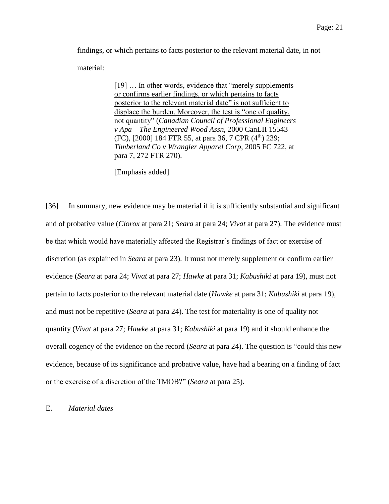findings, or which pertains to facts posterior to the relevant material date, in not material:

> [19] ... In other words, evidence that "merely supplements" or confirms earlier findings, or which pertains to facts posterior to the relevant material date" is not sufficient to displace the burden. Moreover, the test is "one of quality, not quantity" (*Canadian Council of Professional Engineers v Apa – The Engineered Wood Assn*, 2000 CanLII 15543 (FC), [2000] 184 FTR 55, at para 36, 7 CPR  $(4<sup>th</sup>)$  239; *Timberland Co v Wrangler Apparel Corp*, 2005 FC 722, at para 7, 272 FTR 270).

[Emphasis added]

[36] In summary, new evidence may be material if it is sufficiently substantial and significant and of probative value (*Clorox* at para 21; *Seara* at para 24; *Vivat* at para 27). The evidence must be that which would have materially affected the Registrar's findings of fact or exercise of discretion (as explained in *Seara* at para 23). It must not merely supplement or confirm earlier evidence (*Seara* at para 24; *Vivat* at para 27; *Hawke* at para 31; *Kabushiki* at para 19), must not pertain to facts posterior to the relevant material date (*Hawke* at para 31; *Kabushiki* at para 19), and must not be repetitive (*Seara* at para 24). The test for materiality is one of quality not quantity (*Vivat* at para 27; *Hawke* at para 31; *Kabushiki* at para 19) and it should enhance the overall cogency of the evidence on the record (*Seara* at para 24). The question is "could this new evidence, because of its significance and probative value, have had a bearing on a finding of fact or the exercise of a discretion of the TMOB?" (*Seara* at para 25).

#### <span id="page-20-0"></span>E. *Material dates*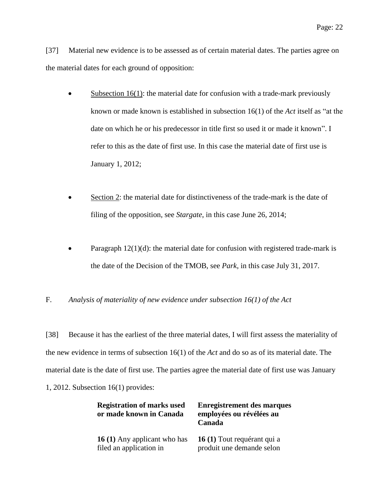[37] Material new evidence is to be assessed as of certain material dates. The parties agree on the material dates for each ground of opposition:

- $\bullet$  Subsection 16(1): the material date for confusion with a trade-mark previously known or made known is established in subsection 16(1) of the *Act* itself as "at the date on which he or his predecessor in title first so used it or made it known". I refer to this as the date of first use. In this case the material date of first use is January 1, 2012;
- Section 2: the material date for distinctiveness of the trade-mark is the date of filing of the opposition, see *Stargate*, in this case June 26, 2014;
- Paragraph  $12(1)(d)$ : the material date for confusion with registered trade-mark is the date of the Decision of the TMOB, see *Park*, in this case July 31, 2017.

<span id="page-21-0"></span>F. *Analysis of materiality of new evidence under subsection 16(1) of the Act*

[38] Because it has the earliest of the three material dates, I will first assess the materiality of the new evidence in terms of subsection 16(1) of the *Act* and do so as of its material date. The material date is the date of first use. The parties agree the material date of first use was January 1, 2012. Subsection 16(1) provides:

| <b>Registration of marks used</b><br>or made known in Canada | <b>Enregistrement des marques</b><br>employées ou révélées au<br>Canada |
|--------------------------------------------------------------|-------------------------------------------------------------------------|
| 16 (1) Any applicant who has                                 | 16 (1) Tout requérant qui a                                             |
| filed an application in                                      | produit une demande selon                                               |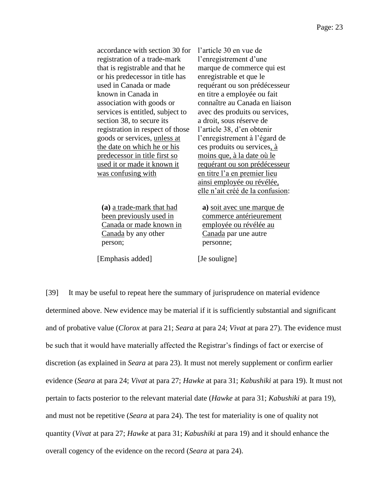| accordance with section 30 for      | l'article 30 en vue de           |
|-------------------------------------|----------------------------------|
| registration of a trade-mark        | l'enregistrement d'une           |
| that is registrable and that he     | marque de commerce qui est       |
| or his predecessor in title has     | enregistrable et que le          |
| used in Canada or made              | requérant ou son prédécesseur    |
| known in Canada in                  | en titre a employée ou fait      |
| association with goods or           | connaître au Canada en liaison   |
| services is entitled, subject to    | avec des produits ou services,   |
| section 38, to secure its           | a droit, sous réserve de         |
| registration in respect of those    | l'article 38, d'en obtenir       |
| goods or services, <i>unless at</i> | l'enregistrement à l'égard de    |
| the date on which he or his         | ces produits ou services, à      |
| predecessor in title first so       | moins que, à la date où le       |
| used it or made it known it         | requérant ou son prédécesseur    |
| was confusing with                  | en titre l'a en premier lieu     |
|                                     | ainsi employée ou révélée,       |
|                                     | elle n'ait créé de la confusion: |
|                                     |                                  |
| (a) a trade-mark that had           | a) soit avec une marque de       |
| <u>been previously used in</u>      | commerce antérieurement          |
| Canada or made known in             | employée ou révélée au           |
| Canada by any other                 | Canada par une autre             |
| person;                             | personne:                        |

[Emphasis added] [Je souligne]

[39] It may be useful to repeat here the summary of jurisprudence on material evidence determined above. New evidence may be material if it is sufficiently substantial and significant and of probative value (*Clorox* at para 21; *Seara* at para 24; *Vivat* at para 27). The evidence must be such that it would have materially affected the Registrar's findings of fact or exercise of discretion (as explained in *Seara* at para 23). It must not merely supplement or confirm earlier evidence (*Seara* at para 24; *Vivat* at para 27; *Hawke* at para 31; *Kabushiki* at para 19). It must not pertain to facts posterior to the relevant material date (*Hawke* at para 31; *Kabushiki* at para 19), and must not be repetitive (*Seara* at para 24). The test for materiality is one of quality not quantity (*Vivat* at para 27; *Hawke* at para 31; *Kabushiki* at para 19) and it should enhance the overall cogency of the evidence on the record (*Seara* at para 24).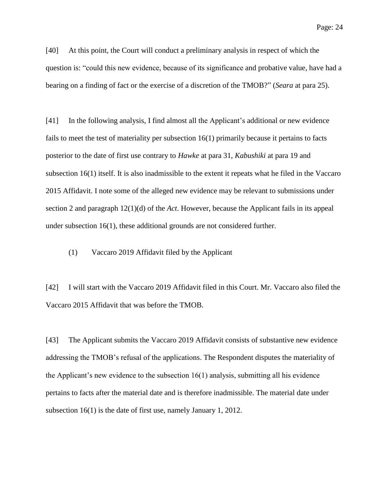Page: 24

[40] At this point, the Court will conduct a preliminary analysis in respect of which the question is: "could this new evidence, because of its significance and probative value, have had a bearing on a finding of fact or the exercise of a discretion of the TMOB?" (*Seara* at para 25).

[41] In the following analysis, I find almost all the Applicant's additional or new evidence fails to meet the test of materiality per subsection 16(1) primarily because it pertains to facts posterior to the date of first use contrary to *Hawke* at para 31, *Kabushiki* at para 19 and subsection 16(1) itself. It is also inadmissible to the extent it repeats what he filed in the Vaccaro 2015 Affidavit. I note some of the alleged new evidence may be relevant to submissions under section 2 and paragraph 12(1)(d) of the *Act*. However, because the Applicant fails in its appeal under subsection 16(1), these additional grounds are not considered further.

<span id="page-23-0"></span>(1) Vaccaro 2019 Affidavit filed by the Applicant

[42] I will start with the Vaccaro 2019 Affidavit filed in this Court. Mr. Vaccaro also filed the Vaccaro 2015 Affidavit that was before the TMOB.

[43] The Applicant submits the Vaccaro 2019 Affidavit consists of substantive new evidence addressing the TMOB's refusal of the applications. The Respondent disputes the materiality of the Applicant's new evidence to the subsection 16(1) analysis, submitting all his evidence pertains to facts after the material date and is therefore inadmissible. The material date under subsection 16(1) is the date of first use, namely January 1, 2012.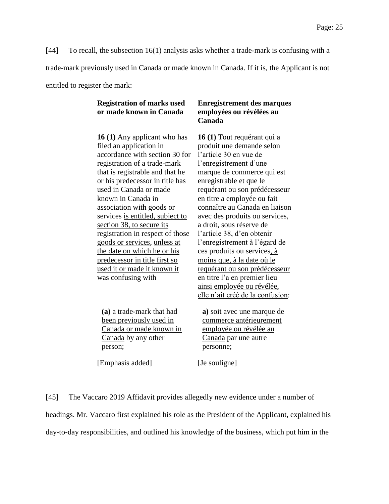[44] To recall, the subsection 16(1) analysis asks whether a trade-mark is confusing with a trade-mark previously used in Canada or made known in Canada. If it is, the Applicant is not entitled to register the mark:

# **Registration of marks used or made known in Canada**

**16 (1)** Any applicant who has filed an application in accordance with section 30 for registration of a trade-mark that is registrable and that he or his predecessor in title has used in Canada or made known in Canada in association with goods or services is entitled, subject to section 38, to secure its registration in respect of those goods or services, unless at the date on which he or his predecessor in title first so used it or made it known it was confusing with

**(a)** a trade-mark that had been previously used in Canada or made known in Canada by any other person;

[Emphasis added] [Je souligne]

**Enregistrement des marques employées ou révélées au Canada**

**16 (1)** Tout requérant qui a produit une demande selon l'article 30 en vue de l'enregistrement d'une marque de commerce qui est enregistrable et que le requérant ou son prédécesseur en titre a employée ou fait connaître au Canada en liaison avec des produits ou services, a droit, sous réserve de l'article 38, d'en obtenir l'enregistrement à l'égard de ces produits ou services, à moins que, à la date où le requérant ou son prédécesseur en titre l'a en premier lieu ainsi employée ou révélée, elle n'ait créé de la confusion:

**a)** soit avec une marque de commerce antérieurement employée ou révélée au Canada par une autre personne;

[45] The Vaccaro 2019 Affidavit provides allegedly new evidence under a number of headings. Mr. Vaccaro first explained his role as the President of the Applicant, explained his day-to-day responsibilities, and outlined his knowledge of the business, which put him in the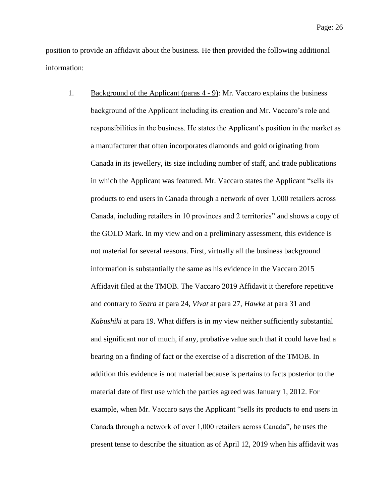position to provide an affidavit about the business. He then provided the following additional information:

1. Background of the Applicant (paras 4 - 9): Mr. Vaccaro explains the business background of the Applicant including its creation and Mr. Vaccaro's role and responsibilities in the business. He states the Applicant's position in the market as a manufacturer that often incorporates diamonds and gold originating from Canada in its jewellery, its size including number of staff, and trade publications in which the Applicant was featured. Mr. Vaccaro states the Applicant "sells its products to end users in Canada through a network of over 1,000 retailers across Canada, including retailers in 10 provinces and 2 territories" and shows a copy of the GOLD Mark. In my view and on a preliminary assessment, this evidence is not material for several reasons. First, virtually all the business background information is substantially the same as his evidence in the Vaccaro 2015 Affidavit filed at the TMOB. The Vaccaro 2019 Affidavit it therefore repetitive and contrary to *Seara* at para 24, *Vivat* at para 27, *Hawke* at para 31 and *Kabushiki* at para 19. What differs is in my view neither sufficiently substantial and significant nor of much, if any, probative value such that it could have had a bearing on a finding of fact or the exercise of a discretion of the TMOB. In addition this evidence is not material because is pertains to facts posterior to the material date of first use which the parties agreed was January 1, 2012. For example, when Mr. Vaccaro says the Applicant "sells its products to end users in Canada through a network of over 1,000 retailers across Canada", he uses the present tense to describe the situation as of April 12, 2019 when his affidavit was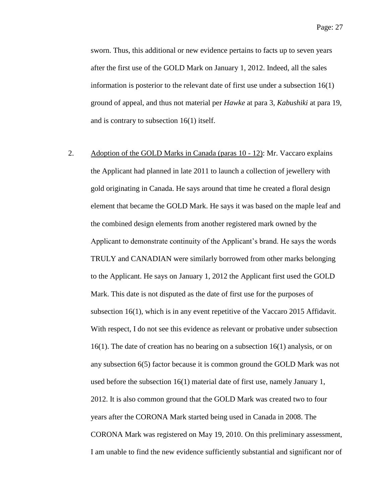sworn. Thus, this additional or new evidence pertains to facts up to seven years after the first use of the GOLD Mark on January 1, 2012. Indeed, all the sales information is posterior to the relevant date of first use under a subsection 16(1) ground of appeal, and thus not material per *Hawke* at para 3, *Kabushiki* at para 19, and is contrary to subsection 16(1) itself.

2. Adoption of the GOLD Marks in Canada (paras 10 - 12): Mr. Vaccaro explains the Applicant had planned in late 2011 to launch a collection of jewellery with gold originating in Canada. He says around that time he created a floral design element that became the GOLD Mark. He says it was based on the maple leaf and the combined design elements from another registered mark owned by the Applicant to demonstrate continuity of the Applicant's brand. He says the words TRULY and CANADIAN were similarly borrowed from other marks belonging to the Applicant. He says on January 1, 2012 the Applicant first used the GOLD Mark. This date is not disputed as the date of first use for the purposes of subsection 16(1), which is in any event repetitive of the Vaccaro 2015 Affidavit. With respect, I do not see this evidence as relevant or probative under subsection 16(1). The date of creation has no bearing on a subsection 16(1) analysis, or on any subsection 6(5) factor because it is common ground the GOLD Mark was not used before the subsection 16(1) material date of first use, namely January 1, 2012. It is also common ground that the GOLD Mark was created two to four years after the CORONA Mark started being used in Canada in 2008. The CORONA Mark was registered on May 19, 2010. On this preliminary assessment, I am unable to find the new evidence sufficiently substantial and significant nor of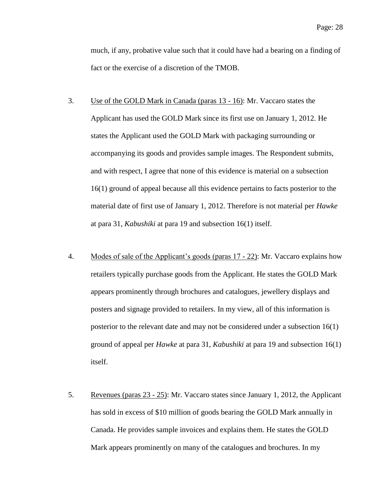much, if any, probative value such that it could have had a bearing on a finding of fact or the exercise of a discretion of the TMOB.

- 3. Use of the GOLD Mark in Canada (paras 13 16): Mr. Vaccaro states the Applicant has used the GOLD Mark since its first use on January 1, 2012. He states the Applicant used the GOLD Mark with packaging surrounding or accompanying its goods and provides sample images. The Respondent submits, and with respect, I agree that none of this evidence is material on a subsection 16(1) ground of appeal because all this evidence pertains to facts posterior to the material date of first use of January 1, 2012. Therefore is not material per *Hawke* at para 31, *Kabushiki* at para 19 and subsection 16(1) itself.
- 4. Modes of sale of the Applicant's goods (paras 17 22): Mr. Vaccaro explains how retailers typically purchase goods from the Applicant. He states the GOLD Mark appears prominently through brochures and catalogues, jewellery displays and posters and signage provided to retailers. In my view, all of this information is posterior to the relevant date and may not be considered under a subsection 16(1) ground of appeal per *Hawke* at para 31, *Kabushiki* at para 19 and subsection 16(1) itself.
- 5. Revenues (paras 23 25): Mr. Vaccaro states since January 1, 2012, the Applicant has sold in excess of \$10 million of goods bearing the GOLD Mark annually in Canada. He provides sample invoices and explains them. He states the GOLD Mark appears prominently on many of the catalogues and brochures. In my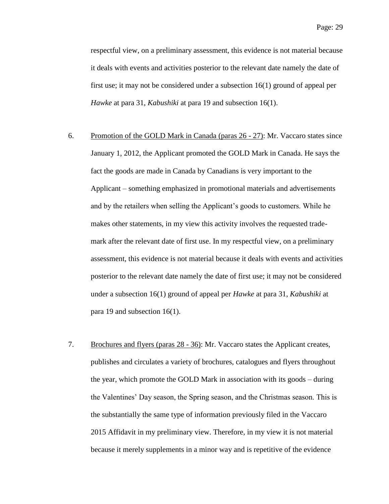respectful view, on a preliminary assessment, this evidence is not material because it deals with events and activities posterior to the relevant date namely the date of first use; it may not be considered under a subsection 16(1) ground of appeal per *Hawke* at para 31, *Kabushiki* at para 19 and subsection 16(1).

- 6. Promotion of the GOLD Mark in Canada (paras 26 27): Mr. Vaccaro states since January 1, 2012, the Applicant promoted the GOLD Mark in Canada. He says the fact the goods are made in Canada by Canadians is very important to the Applicant – something emphasized in promotional materials and advertisements and by the retailers when selling the Applicant's goods to customers. While he makes other statements, in my view this activity involves the requested trademark after the relevant date of first use. In my respectful view, on a preliminary assessment, this evidence is not material because it deals with events and activities posterior to the relevant date namely the date of first use; it may not be considered under a subsection 16(1) ground of appeal per *Hawke* at para 31, *Kabushiki* at para 19 and subsection 16(1).
- 7. Brochures and flyers (paras 28 36): Mr. Vaccaro states the Applicant creates, publishes and circulates a variety of brochures, catalogues and flyers throughout the year, which promote the GOLD Mark in association with its goods – during the Valentines' Day season, the Spring season, and the Christmas season. This is the substantially the same type of information previously filed in the Vaccaro 2015 Affidavit in my preliminary view. Therefore, in my view it is not material because it merely supplements in a minor way and is repetitive of the evidence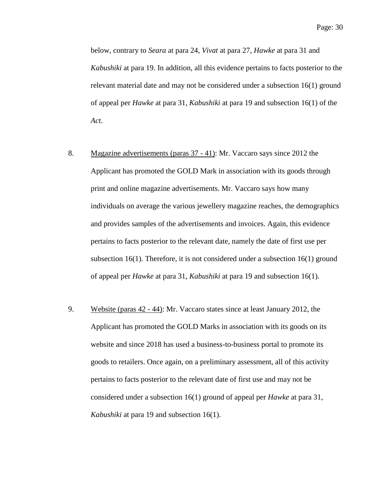below, contrary to *Seara* at para 24, *Vivat* at para 27, *Hawke* at para 31 and *Kabushiki* at para 19. In addition, all this evidence pertains to facts posterior to the relevant material date and may not be considered under a subsection 16(1) ground of appeal per *Hawke* at para 31, *Kabushiki* at para 19 and subsection 16(1) of the *Act*.

- 8. Magazine advertisements (paras 37 41): Mr. Vaccaro says since 2012 the Applicant has promoted the GOLD Mark in association with its goods through print and online magazine advertisements. Mr. Vaccaro says how many individuals on average the various jewellery magazine reaches, the demographics and provides samples of the advertisements and invoices. Again, this evidence pertains to facts posterior to the relevant date, namely the date of first use per subsection 16(1). Therefore, it is not considered under a subsection 16(1) ground of appeal per *Hawke* at para 31, *Kabushiki* at para 19 and subsection 16(1).
- 9. Website (paras 42 44): Mr. Vaccaro states since at least January 2012, the Applicant has promoted the GOLD Marks in association with its goods on its website and since 2018 has used a business-to-business portal to promote its goods to retailers. Once again, on a preliminary assessment, all of this activity pertains to facts posterior to the relevant date of first use and may not be considered under a subsection 16(1) ground of appeal per *Hawke* at para 31, *Kabushiki* at para 19 and subsection 16(1).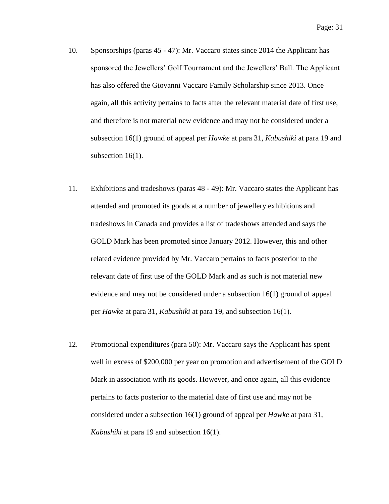- 10. Sponsorships (paras 45 47): Mr. Vaccaro states since 2014 the Applicant has sponsored the Jewellers' Golf Tournament and the Jewellers' Ball. The Applicant has also offered the Giovanni Vaccaro Family Scholarship since 2013. Once again, all this activity pertains to facts after the relevant material date of first use, and therefore is not material new evidence and may not be considered under a subsection 16(1) ground of appeal per *Hawke* at para 31, *Kabushiki* at para 19 and subsection 16(1).
- 11. Exhibitions and tradeshows (paras 48 49): Mr. Vaccaro states the Applicant has attended and promoted its goods at a number of jewellery exhibitions and tradeshows in Canada and provides a list of tradeshows attended and says the GOLD Mark has been promoted since January 2012. However, this and other related evidence provided by Mr. Vaccaro pertains to facts posterior to the relevant date of first use of the GOLD Mark and as such is not material new evidence and may not be considered under a subsection 16(1) ground of appeal per *Hawke* at para 31, *Kabushiki* at para 19, and subsection 16(1).
- 12. Promotional expenditures (para 50): Mr. Vaccaro says the Applicant has spent well in excess of \$200,000 per year on promotion and advertisement of the GOLD Mark in association with its goods. However, and once again, all this evidence pertains to facts posterior to the material date of first use and may not be considered under a subsection 16(1) ground of appeal per *Hawke* at para 31, *Kabushiki* at para 19 and subsection 16(1).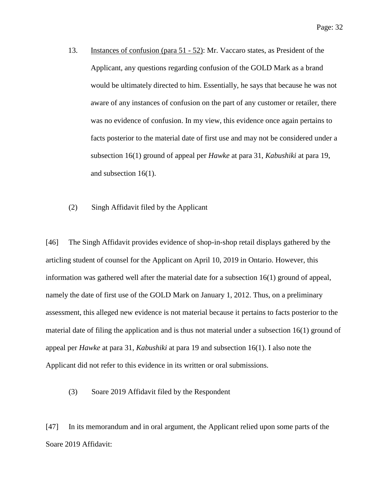- 13. Instances of confusion (para 51 52): Mr. Vaccaro states, as President of the Applicant, any questions regarding confusion of the GOLD Mark as a brand would be ultimately directed to him. Essentially, he says that because he was not aware of any instances of confusion on the part of any customer or retailer, there was no evidence of confusion. In my view, this evidence once again pertains to facts posterior to the material date of first use and may not be considered under a subsection 16(1) ground of appeal per *Hawke* at para 31, *Kabushiki* at para 19, and subsection 16(1).
- <span id="page-31-0"></span>(2) Singh Affidavit filed by the Applicant

[46] The Singh Affidavit provides evidence of shop-in-shop retail displays gathered by the articling student of counsel for the Applicant on April 10, 2019 in Ontario. However, this information was gathered well after the material date for a subsection 16(1) ground of appeal, namely the date of first use of the GOLD Mark on January 1, 2012. Thus, on a preliminary assessment, this alleged new evidence is not material because it pertains to facts posterior to the material date of filing the application and is thus not material under a subsection 16(1) ground of appeal per *Hawke* at para 31, *Kabushiki* at para 19 and subsection 16(1). I also note the Applicant did not refer to this evidence in its written or oral submissions.

<span id="page-31-1"></span>(3) Soare 2019 Affidavit filed by the Respondent

[47] In its memorandum and in oral argument, the Applicant relied upon some parts of the Soare 2019 Affidavit: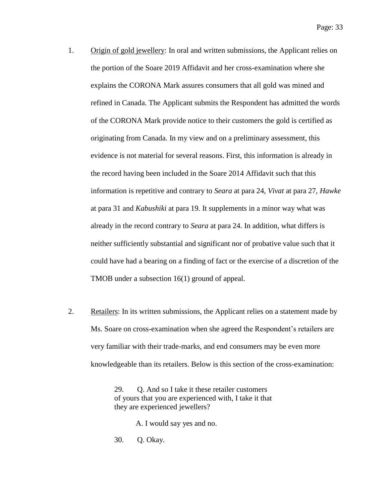- 1. Origin of gold jewellery: In oral and written submissions, the Applicant relies on the portion of the Soare 2019 Affidavit and her cross-examination where she explains the CORONA Mark assures consumers that all gold was mined and refined in Canada. The Applicant submits the Respondent has admitted the words of the CORONA Mark provide notice to their customers the gold is certified as originating from Canada. In my view and on a preliminary assessment, this evidence is not material for several reasons. First, this information is already in the record having been included in the Soare 2014 Affidavit such that this information is repetitive and contrary to *Seara* at para 24, *Vivat* at para 27, *Hawke* at para 31 and *Kabushiki* at para 19. It supplements in a minor way what was already in the record contrary to *Seara* at para 24. In addition, what differs is neither sufficiently substantial and significant nor of probative value such that it could have had a bearing on a finding of fact or the exercise of a discretion of the TMOB under a subsection 16(1) ground of appeal.
- 2. Retailers: In its written submissions, the Applicant relies on a statement made by Ms. Soare on cross-examination when she agreed the Respondent's retailers are very familiar with their trade-marks, and end consumers may be even more knowledgeable than its retailers. Below is this section of the cross-examination:

29. O. And so I take it these retailer customers of yours that you are experienced with, I take it that they are experienced jewellers?

A. I would say yes and no.

30. Q. Okay.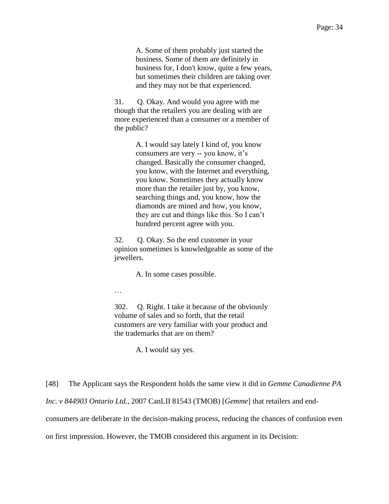A. Some of them probably just started the business. Some of them are definitely in business for, I don't know, quite a few years, but sometimes their children are taking over and they may not be that experienced.

31. Q. Okay. And would you agree with me though that the retailers you are dealing with are more experienced than a consumer or a member of the public?

> A. I would say lately I kind of, you know consumers are very -- you know, it's changed. Basically the consumer changed, you know, with the Internet and everything, you know. Sometimes they actually know more than the retailer just by, you know, searching things and, you know, how the diamonds are mined and how, you know, they are cut and things like this. So I can't hundred percent agree with you.

32. Q. Okay. So the end customer in your opinion sometimes is knowledgeable as some of the jewellers.

A. In some cases possible.

…

302. Q. Right. I take it because of the obviously volume of sales and so forth, that the retail customers are very familiar with your product and the trademarks that are on them?

A. I would say yes.

[48] The Applicant says the Respondent holds the same view it did in *Gemme Canadienne PA* 

*Inc. v 844903 Ontario Ltd.*, 2007 CanLII 81543 (TMOB) [*Gemme*] that retailers and end-

consumers are deliberate in the decision-making process, reducing the chances of confusion even

on first impression. However, the TMOB considered this argument in its Decision: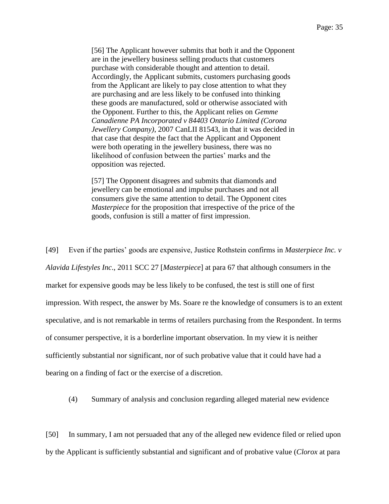[56] The Applicant however submits that both it and the Opponent are in the jewellery business selling products that customers purchase with considerable thought and attention to detail. Accordingly, the Applicant submits, customers purchasing goods from the Applicant are likely to pay close attention to what they are purchasing and are less likely to be confused into thinking these goods are manufactured, sold or otherwise associated with the Opponent. Further to this, the Applicant relies on *Gemme Canadienne PA Incorporated v 84403 Ontario Limited (Corona Jewellery Company)*, 2007 CanLII 81543, in that it was decided in that case that despite the fact that the Applicant and Opponent were both operating in the jewellery business, there was no likelihood of confusion between the parties' marks and the opposition was rejected.

[57] The Opponent disagrees and submits that diamonds and jewellery can be emotional and impulse purchases and not all consumers give the same attention to detail. The Opponent cites *Masterpiece* for the proposition that irrespective of the price of the goods, confusion is still a matter of first impression.

[49] Even if the parties' goods are expensive, Justice Rothstein confirms in *Masterpiece Inc. v Alavida Lifestyles Inc*., 2011 SCC 27 [*Masterpiece*] at para 67 that although consumers in the market for expensive goods may be less likely to be confused, the test is still one of first impression. With respect, the answer by Ms. Soare re the knowledge of consumers is to an extent speculative, and is not remarkable in terms of retailers purchasing from the Respondent. In terms of consumer perspective, it is a borderline important observation. In my view it is neither sufficiently substantial nor significant, nor of such probative value that it could have had a bearing on a finding of fact or the exercise of a discretion.

<span id="page-34-0"></span>(4) Summary of analysis and conclusion regarding alleged material new evidence

[50] In summary, I am not persuaded that any of the alleged new evidence filed or relied upon by the Applicant is sufficiently substantial and significant and of probative value (*Clorox* at para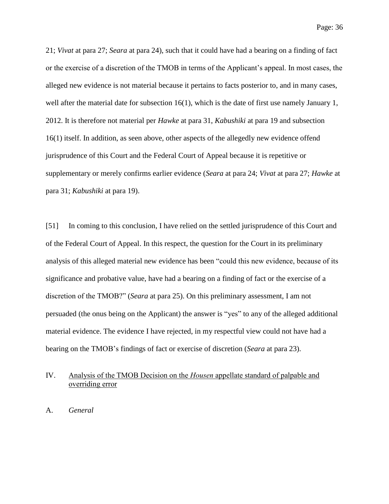21; *Vivat* at para 27; *Seara* at para 24), such that it could have had a bearing on a finding of fact or the exercise of a discretion of the TMOB in terms of the Applicant's appeal. In most cases, the alleged new evidence is not material because it pertains to facts posterior to, and in many cases, well after the material date for subsection  $16(1)$ , which is the date of first use namely January 1, 2012. It is therefore not material per *Hawke* at para 31, *Kabushiki* at para 19 and subsection 16(1) itself. In addition, as seen above, other aspects of the allegedly new evidence offend jurisprudence of this Court and the Federal Court of Appeal because it is repetitive or supplementary or merely confirms earlier evidence (*Seara* at para 24; *Vivat* at para 27; *Hawke* at para 31; *Kabushiki* at para 19).

[51] In coming to this conclusion, I have relied on the settled jurisprudence of this Court and of the Federal Court of Appeal. In this respect, the question for the Court in its preliminary analysis of this alleged material new evidence has been "could this new evidence, because of its significance and probative value, have had a bearing on a finding of fact or the exercise of a discretion of the TMOB?" (*Seara* at para 25). On this preliminary assessment, I am not persuaded (the onus being on the Applicant) the answer is "yes" to any of the alleged additional material evidence. The evidence I have rejected, in my respectful view could not have had a bearing on the TMOB's findings of fact or exercise of discretion (*Seara* at para 23).

### <span id="page-35-0"></span>IV. Analysis of the TMOB Decision on the *Housen* appellate standard of palpable and overriding error

<span id="page-35-1"></span>A. *General*

Page: 36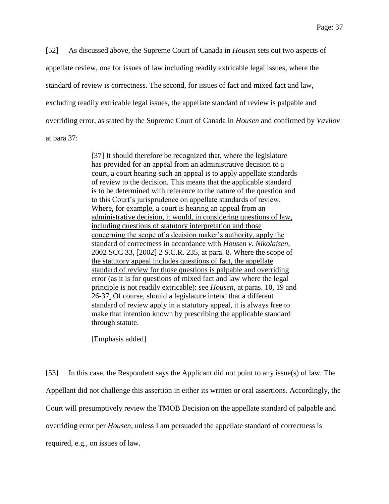[52] As discussed above, the Supreme Court of Canada in *Housen* sets out two aspects of appellate review, one for issues of law including readily extricable legal issues, where the standard of review is correctness. The second, for issues of fact and mixed fact and law, excluding readily extricable legal issues, the appellate standard of review is palpable and overriding error, as stated by the Supreme Court of Canada in *Housen* and confirmed by *Vavilov* at para 37:

> [37] It should therefore be recognized that, where the legislature has provided for an appeal from an administrative decision to a court, a court hearing such an appeal is to apply appellate standards of review to the decision. This means that the applicable standard is to be determined with reference to the nature of the question and to this Court's jurisprudence on appellate standards of review. Where, for example, a court is hearing an appeal from an administrative decision, it would, in considering questions of law, including questions of statutory interpretation and those concerning the scope of a decision maker's authority, apply the standard of correctness in accordance with *Housen v. Nikolaisen*, 2002 SCC 33, [2002] 2 S.C.R. 235, at para. 8. Where the scope of the statutory appeal includes questions of fact, the appellate standard of review for those questions is palpable and overriding error (as it is for questions of mixed fact and law where the legal principle is not readily extricable): see *Housen*, at paras. 10, 19 and 26-37. Of course, should a legislature intend that a different standard of review apply in a statutory appeal, it is always free to make that intention known by prescribing the applicable standard through statute.

[Emphasis added]

[53] In this case, the Respondent says the Applicant did not point to any issue(s) of law. The Appellant did not challenge this assertion in either its written or oral assertions. Accordingly, the Court will presumptively review the TMOB Decision on the appellate standard of palpable and overriding error per *Housen*, unless I am persuaded the appellate standard of correctness is required, e.g., on issues of law.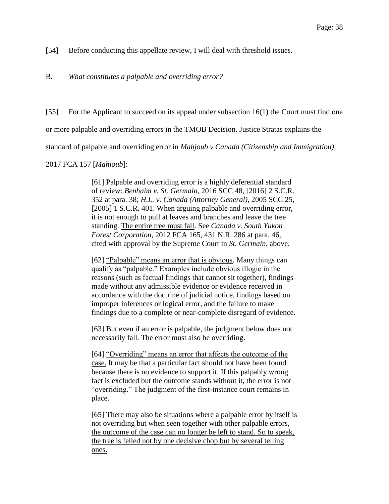[54] Before conducting this appellate review, I will deal with threshold issues.

B. *What constitutes a palpable and overriding error?*

[55] For the Applicant to succeed on its appeal under subsection 16(1) the Court must find one or more palpable and overriding errors in the TMOB Decision. Justice Stratas explains the standard of palpable and overriding error in *Mahjoub v Canada (Citizenship and Immigration)*,

2017 FCA 157 [*Mahjoub*]:

[61] Palpable and overriding error is a highly deferential standard of review: *Benhaim v. St. Germain*, 2016 SCC 48, [2016] 2 S.C.R. 352 at para. 38; *H.L. v. Canada (Attorney General)*, 2005 SCC 25, [2005] 1 S.C.R. 401. When arguing palpable and overriding error, it is not enough to pull at leaves and branches and leave the tree standing. The entire tree must fall. See *Canada v. South Yukon Forest Corporation*, 2012 FCA 165, 431 N.R. 286 at para. 46, cited with approval by the Supreme Court in *St. Germain*, above.

[62] "Palpable" means an error that is obvious. Many things can qualify as "palpable." Examples include obvious illogic in the reasons (such as factual findings that cannot sit together), findings made without any admissible evidence or evidence received in accordance with the doctrine of judicial notice, findings based on improper inferences or logical error, and the failure to make findings due to a complete or near-complete disregard of evidence.

[63] But even if an error is palpable, the judgment below does not necessarily fall. The error must also be overriding.

[64] "Overriding" means an error that affects the outcome of the case. It may be that a particular fact should not have been found because there is no evidence to support it. If this palpably wrong fact is excluded but the outcome stands without it, the error is not "overriding." The judgment of the first-instance court remains in place.

[65] There may also be situations where a palpable error by itself is not overriding but when seen together with other palpable errors, the outcome of the case can no longer be left to stand. So to speak, the tree is felled not by one decisive chop but by several telling ones.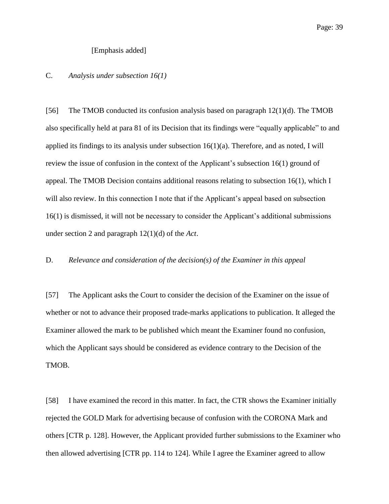### [Emphasis added]

## C. *Analysis under subsection 16(1)*

[56] The TMOB conducted its confusion analysis based on paragraph 12(1)(d). The TMOB also specifically held at para 81 of its Decision that its findings were "equally applicable" to and applied its findings to its analysis under subsection  $16(1)(a)$ . Therefore, and as noted, I will review the issue of confusion in the context of the Applicant's subsection 16(1) ground of appeal. The TMOB Decision contains additional reasons relating to subsection 16(1), which I will also review. In this connection I note that if the Applicant's appeal based on subsection 16(1) is dismissed, it will not be necessary to consider the Applicant's additional submissions under section 2 and paragraph 12(1)(d) of the *Act*.

## D. *Relevance and consideration of the decision(s) of the Examiner in this appeal*

[57] The Applicant asks the Court to consider the decision of the Examiner on the issue of whether or not to advance their proposed trade-marks applications to publication. It alleged the Examiner allowed the mark to be published which meant the Examiner found no confusion, which the Applicant says should be considered as evidence contrary to the Decision of the TMOB.

[58] I have examined the record in this matter. In fact, the CTR shows the Examiner initially rejected the GOLD Mark for advertising because of confusion with the CORONA Mark and others [CTR p. 128]. However, the Applicant provided further submissions to the Examiner who then allowed advertising [CTR pp. 114 to 124]. While I agree the Examiner agreed to allow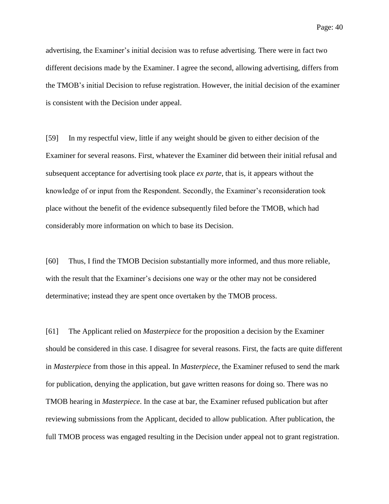advertising, the Examiner's initial decision was to refuse advertising. There were in fact two different decisions made by the Examiner. I agree the second, allowing advertising, differs from the TMOB's initial Decision to refuse registration. However, the initial decision of the examiner is consistent with the Decision under appeal.

[59] In my respectful view, little if any weight should be given to either decision of the Examiner for several reasons. First, whatever the Examiner did between their initial refusal and subsequent acceptance for advertising took place *ex parte*, that is, it appears without the knowledge of or input from the Respondent. Secondly, the Examiner's reconsideration took place without the benefit of the evidence subsequently filed before the TMOB, which had considerably more information on which to base its Decision.

[60] Thus, I find the TMOB Decision substantially more informed, and thus more reliable, with the result that the Examiner's decisions one way or the other may not be considered determinative; instead they are spent once overtaken by the TMOB process.

[61] The Applicant relied on *Masterpiece* for the proposition a decision by the Examiner should be considered in this case. I disagree for several reasons. First, the facts are quite different in *Masterpiece* from those in this appeal. In *Masterpiece*, the Examiner refused to send the mark for publication, denying the application, but gave written reasons for doing so. There was no TMOB hearing in *Masterpiece*. In the case at bar, the Examiner refused publication but after reviewing submissions from the Applicant, decided to allow publication. After publication, the full TMOB process was engaged resulting in the Decision under appeal not to grant registration.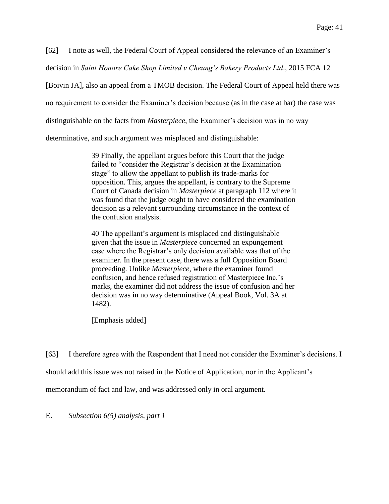[62] I note as well, the Federal Court of Appeal considered the relevance of an Examiner's

decision in *Saint Honore Cake Shop Limited v Cheung's Bakery Products Ltd*., 2015 FCA 12

[Boivin JA], also an appeal from a TMOB decision. The Federal Court of Appeal held there was

no requirement to consider the Examiner's decision because (as in the case at bar) the case was

distinguishable on the facts from *Masterpiece*, the Examiner's decision was in no way

determinative, and such argument was misplaced and distinguishable:

39 Finally, the appellant argues before this Court that the judge failed to "consider the Registrar's decision at the Examination stage" to allow the appellant to publish its trade-marks for opposition. This, argues the appellant, is contrary to the Supreme Court of Canada decision in *Masterpiece* at paragraph 112 where it was found that the judge ought to have considered the examination decision as a relevant surrounding circumstance in the context of the confusion analysis.

40 The appellant's argument is misplaced and distinguishable given that the issue in *Masterpiece* concerned an expungement case where the Registrar's only decision available was that of the examiner. In the present case, there was a full Opposition Board proceeding. Unlike *Masterpiece*, where the examiner found confusion, and hence refused registration of Masterpiece Inc.'s marks, the examiner did not address the issue of confusion and her decision was in no way determinative (Appeal Book, Vol. 3A at 1482).

[Emphasis added]

[63] I therefore agree with the Respondent that I need not consider the Examiner's decisions. I should add this issue was not raised in the Notice of Application, nor in the Applicant's memorandum of fact and law, and was addressed only in oral argument.

E. *Subsection 6(5) analysis, part 1*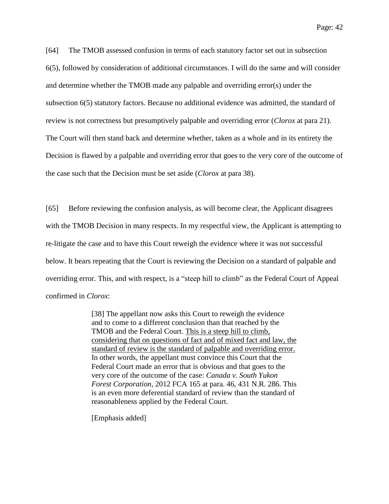Page: 42

[64] The TMOB assessed confusion in terms of each statutory factor set out in subsection 6(5), followed by consideration of additional circumstances. I will do the same and will consider and determine whether the TMOB made any palpable and overriding error(s) under the subsection 6(5) statutory factors. Because no additional evidence was admitted, the standard of review is not correctness but presumptively palpable and overriding error (*Clorox* at para 21). The Court will then stand back and determine whether, taken as a whole and in its entirety the Decision is flawed by a palpable and overriding error that goes to the very core of the outcome of the case such that the Decision must be set aside (*Clorox* at para 38).

[65] Before reviewing the confusion analysis, as will become clear, the Applicant disagrees with the TMOB Decision in many respects. In my respectful view, the Applicant is attempting to re-litigate the case and to have this Court reweigh the evidence where it was not successful below. It bears repeating that the Court is reviewing the Decision on a standard of palpable and overriding error. This, and with respect, is a "steep hill to climb" as the Federal Court of Appeal confirmed in *Clorox*:

> [38] The appellant now asks this Court to reweigh the evidence and to come to a different conclusion than that reached by the TMOB and the Federal Court. This is a steep hill to climb, considering that on questions of fact and of mixed fact and law, the standard of review is the standard of palpable and overriding error. In other words, the appellant must convince this Court that the Federal Court made an error that is obvious and that goes to the very core of the outcome of the case: *Canada v. South Yukon Forest Corporation*, 2012 FCA 165 at para. 46, 431 N.R. 286. This is an even more deferential standard of review than the standard of reasonableness applied by the Federal Court.

[Emphasis added]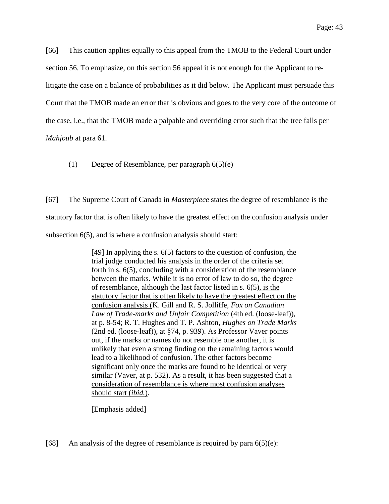Page: 43

[66] This caution applies equally to this appeal from the TMOB to the Federal Court under section 56. To emphasize, on this section 56 appeal it is not enough for the Applicant to relitigate the case on a balance of probabilities as it did below. The Applicant must persuade this Court that the TMOB made an error that is obvious and goes to the very core of the outcome of the case, i.e., that the TMOB made a palpable and overriding error such that the tree falls per *Mahjoub* at para 61.

(1) Degree of Resemblance, per paragraph 6(5)(e)

[67] The Supreme Court of Canada in *Masterpiece* states the degree of resemblance is the statutory factor that is often likely to have the greatest effect on the confusion analysis under subsection 6(5), and is where a confusion analysis should start:

> [49] In applying the s. 6(5) factors to the question of confusion, the trial judge conducted his analysis in the order of the criteria set forth in s. 6(5), concluding with a consideration of the resemblance between the marks. While it is no error of law to do so, the degree of resemblance, although the last factor listed in s. 6(5), is the statutory factor that is often likely to have the greatest effect on the confusion analysis (K. Gill and R. S. Jolliffe, *Fox on Canadian Law of Trade-marks and Unfair Competition* (4th ed. (loose-leaf)), at p. 8-54; R. T. Hughes and T. P. Ashton, *Hughes on Trade Marks* (2nd ed. (loose-leaf)), at §74, p. 939). As Professor Vaver points out, if the marks or names do not resemble one another, it is unlikely that even a strong finding on the remaining factors would lead to a likelihood of confusion. The other factors become significant only once the marks are found to be identical or very similar (Vaver, at p. 532). As a result, it has been suggested that a consideration of resemblance is where most confusion analyses should start (*ibid.*).

[Emphasis added]

[68] An analysis of the degree of resemblance is required by para  $6(5)(e)$ :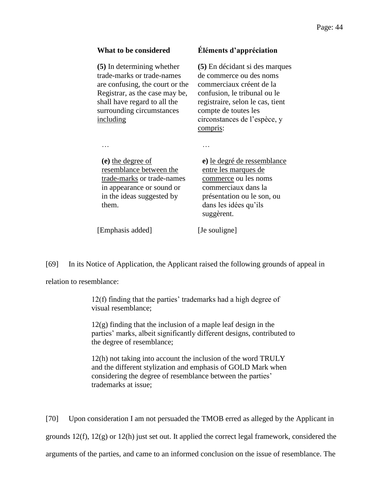**(5)** In determining whether trade-marks or trade-names are confusing, the court or the Registrar, as the case may be, shall have regard to all the surrounding circumstances including

# **What to be considered Éléments d'appréciation**

**(5)** En décidant si des marques de commerce ou des noms commerciaux créent de la confusion, le tribunal ou le registraire, selon le cas, tient compte de toutes les circonstances de l'espèce, y compris:

… …

**(e)** the degree of resemblance between the trade-marks or trade-names in appearance or sound or in the ideas suggested by them.

**e)** le degré de ressemblance entre les marques de commerce ou les noms commerciaux dans la présentation ou le son, ou dans les idées qu'ils suggèrent.

[Emphasis added] [Je souligne]

[69] In its Notice of Application, the Applicant raised the following grounds of appeal in

relation to resemblance:

12(f) finding that the parties' trademarks had a high degree of visual resemblance;

12(g) finding that the inclusion of a maple leaf design in the parties' marks, albeit significantly different designs, contributed to the degree of resemblance;

12(h) not taking into account the inclusion of the word TRULY and the different stylization and emphasis of GOLD Mark when considering the degree of resemblance between the parties' trademarks at issue;

[70] Upon consideration I am not persuaded the TMOB erred as alleged by the Applicant in grounds  $12(f)$ ,  $12(g)$  or  $12(h)$  just set out. It applied the correct legal framework, considered the arguments of the parties, and came to an informed conclusion on the issue of resemblance. The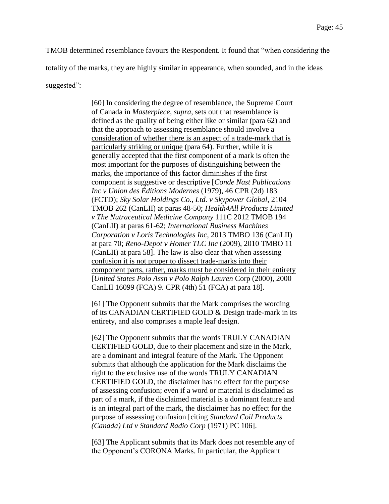TMOB determined resemblance favours the Respondent. It found that "when considering the totality of the marks, they are highly similar in appearance, when sounded, and in the ideas suggested":

> [60] In considering the degree of resemblance, the Supreme Court of Canada in *Masterpiece*, *supra*, sets out that resemblance is defined as the quality of being either like or similar (para 62) and that the approach to assessing resemblance should involve a consideration of whether there is an aspect of a trade-mark that is particularly striking or unique (para 64). Further, while it is generally accepted that the first component of a mark is often the most important for the purposes of distinguishing between the marks, the importance of this factor diminishes if the first component is suggestive or descriptive [*Conde Nast Publications Inc v Union des Éditions Modernes* (1979), 46 CPR (2d) 183 (FCTD); *Sky Solar Holdings Co., Ltd. v Skypower Global*, 2104 TMOB 262 (CanLII) at paras 48-50; *Health4All Products Limited v The Nutraceutical Medicine Company* 111C 2012 TMOB 194 (CanLII) at paras 61-62; *International Business Machines Corporation v Loris Technologies Inc*, 2013 TMBO 136 (CanLII) at para 70; *Reno-Depot v Homer TLC Inc* (2009), 2010 TMBO 11 (CanLII) at para 58]. The law is also clear that when assessing confusion it is not proper to dissect trade-marks into their component parts, rather, marks must be considered in their entirety [*United States Polo Assn v Polo Ralph Lauren* Corp (2000), 2000 CanLII 16099 (FCA) 9. CPR (4th) 51 (FCA) at para 18].

> [61] The Opponent submits that the Mark comprises the wording of its CANADIAN CERTIFIED GOLD & Design trade-mark in its entirety, and also comprises a maple leaf design.

[62] The Opponent submits that the words TRULY CANADIAN CERTIFIED GOLD, due to their placement and size in the Mark, are a dominant and integral feature of the Mark. The Opponent submits that although the application for the Mark disclaims the right to the exclusive use of the words TRULY CANADIAN CERTIFIED GOLD, the disclaimer has no effect for the purpose of assessing confusion; even if a word or material is disclaimed as part of a mark, if the disclaimed material is a dominant feature and is an integral part of the mark, the disclaimer has no effect for the purpose of assessing confusion [citing *Standard Coil Products (Canada) Ltd v Standard Radio Corp* (1971) PC 106].

[63] The Applicant submits that its Mark does not resemble any of the Opponent's CORONA Marks. In particular, the Applicant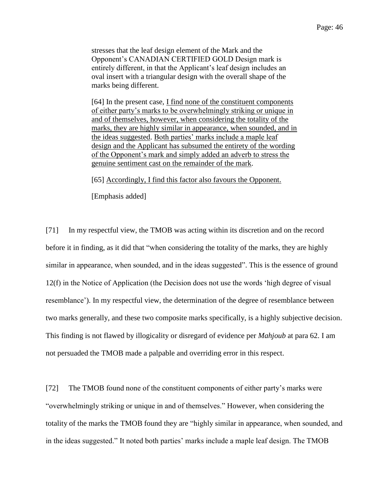stresses that the leaf design element of the Mark and the Opponent's CANADIAN CERTIFIED GOLD Design mark is entirely different, in that the Applicant's leaf design includes an oval insert with a triangular design with the overall shape of the marks being different.

[64] In the present case, I find none of the constituent components of either party's marks to be overwhelmingly striking or unique in and of themselves, however, when considering the totality of the marks, they are highly similar in appearance, when sounded, and in the ideas suggested. Both parties' marks include a maple leaf design and the Applicant has subsumed the entirety of the wording of the Opponent's mark and simply added an adverb to stress the genuine sentiment cast on the remainder of the mark.

[65] Accordingly, I find this factor also favours the Opponent.

[Emphasis added]

[71] In my respectful view, the TMOB was acting within its discretion and on the record before it in finding, as it did that "when considering the totality of the marks, they are highly similar in appearance, when sounded, and in the ideas suggested". This is the essence of ground 12(f) in the Notice of Application (the Decision does not use the words 'high degree of visual resemblance'). In my respectful view, the determination of the degree of resemblance between two marks generally, and these two composite marks specifically, is a highly subjective decision. This finding is not flawed by illogicality or disregard of evidence per *Mahjoub* at para 62. I am not persuaded the TMOB made a palpable and overriding error in this respect.

[72] The TMOB found none of the constituent components of either party's marks were "overwhelmingly striking or unique in and of themselves." However, when considering the totality of the marks the TMOB found they are "highly similar in appearance, when sounded, and in the ideas suggested." It noted both parties' marks include a maple leaf design. The TMOB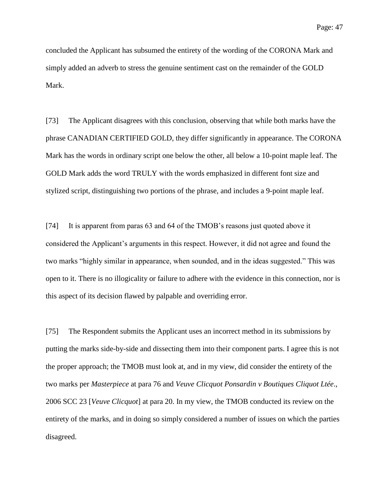concluded the Applicant has subsumed the entirety of the wording of the CORONA Mark and simply added an adverb to stress the genuine sentiment cast on the remainder of the GOLD Mark.

[73] The Applicant disagrees with this conclusion, observing that while both marks have the phrase CANADIAN CERTIFIED GOLD, they differ significantly in appearance. The CORONA Mark has the words in ordinary script one below the other, all below a 10-point maple leaf. The GOLD Mark adds the word TRULY with the words emphasized in different font size and stylized script, distinguishing two portions of the phrase, and includes a 9-point maple leaf.

[74] It is apparent from paras 63 and 64 of the TMOB's reasons just quoted above it considered the Applicant's arguments in this respect. However, it did not agree and found the two marks "highly similar in appearance, when sounded, and in the ideas suggested." This was open to it. There is no illogicality or failure to adhere with the evidence in this connection, nor is this aspect of its decision flawed by palpable and overriding error.

[75] The Respondent submits the Applicant uses an incorrect method in its submissions by putting the marks side-by-side and dissecting them into their component parts. I agree this is not the proper approach; the TMOB must look at, and in my view, did consider the entirety of the two marks per *Masterpiece* at para 76 and *Veuve Clicquot Ponsardin v Boutiques Cliquot Ltée*., 2006 SCC 23 [*Veuve Clicquot*] at para 20. In my view, the TMOB conducted its review on the entirety of the marks, and in doing so simply considered a number of issues on which the parties disagreed.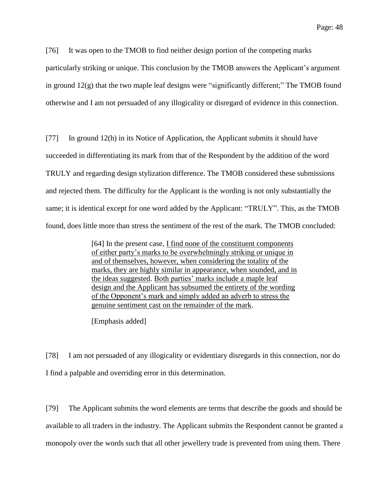[76] It was open to the TMOB to find neither design portion of the competing marks

particularly striking or unique. This conclusion by the TMOB answers the Applicant's argument in ground  $12(g)$  that the two maple leaf designs were "significantly different;" The TMOB found otherwise and I am not persuaded of any illogicality or disregard of evidence in this connection.

[77] In ground 12(h) in its Notice of Application, the Applicant submits it should have succeeded in differentiating its mark from that of the Respondent by the addition of the word TRULY and regarding design stylization difference. The TMOB considered these submissions and rejected them. The difficulty for the Applicant is the wording is not only substantially the same; it is identical except for one word added by the Applicant: "TRULY". This, as the TMOB found, does little more than stress the sentiment of the rest of the mark. The TMOB concluded:

> [64] In the present case, I find none of the constituent components of either party's marks to be overwhelmingly striking or unique in and of themselves, however, when considering the totality of the marks, they are highly similar in appearance, when sounded, and in the ideas suggested. Both parties' marks include a maple leaf design and the Applicant has subsumed the entirety of the wording of the Opponent's mark and simply added an adverb to stress the genuine sentiment cast on the remainder of the mark.

[Emphasis added]

[78] I am not persuaded of any illogicality or evidentiary disregards in this connection, nor do I find a palpable and overriding error in this determination.

[79] The Applicant submits the word elements are terms that describe the goods and should be available to all traders in the industry. The Applicant submits the Respondent cannot be granted a monopoly over the words such that all other jewellery trade is prevented from using them. There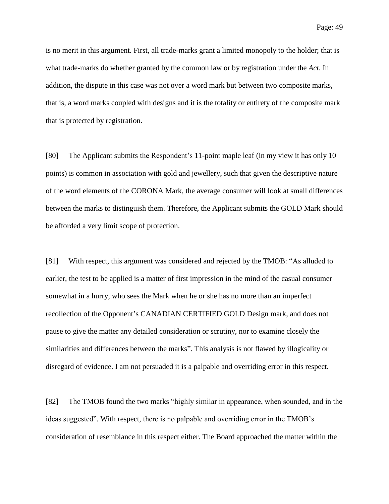is no merit in this argument. First, all trade-marks grant a limited monopoly to the holder; that is what trade-marks do whether granted by the common law or by registration under the *Act*. In addition, the dispute in this case was not over a word mark but between two composite marks, that is, a word marks coupled with designs and it is the totality or entirety of the composite mark that is protected by registration.

[80] The Applicant submits the Respondent's 11-point maple leaf (in my view it has only 10 points) is common in association with gold and jewellery, such that given the descriptive nature of the word elements of the CORONA Mark, the average consumer will look at small differences between the marks to distinguish them. Therefore, the Applicant submits the GOLD Mark should be afforded a very limit scope of protection.

[81] With respect, this argument was considered and rejected by the TMOB: "As alluded to earlier, the test to be applied is a matter of first impression in the mind of the casual consumer somewhat in a hurry, who sees the Mark when he or she has no more than an imperfect recollection of the Opponent's CANADIAN CERTIFIED GOLD Design mark, and does not pause to give the matter any detailed consideration or scrutiny, nor to examine closely the similarities and differences between the marks". This analysis is not flawed by illogicality or disregard of evidence. I am not persuaded it is a palpable and overriding error in this respect.

[82] The TMOB found the two marks "highly similar in appearance, when sounded, and in the ideas suggested". With respect, there is no palpable and overriding error in the TMOB's consideration of resemblance in this respect either. The Board approached the matter within the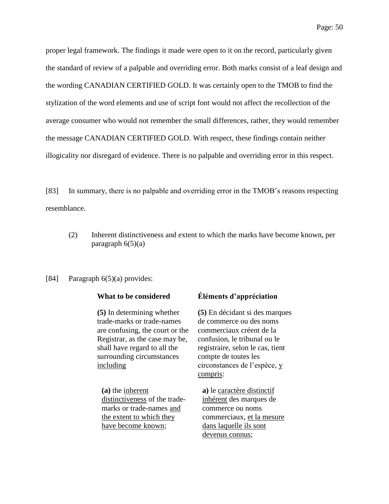proper legal framework. The findings it made were open to it on the record, particularly given the standard of review of a palpable and overriding error. Both marks consist of a leaf design and the wording CANADIAN CERTIFIED GOLD. It was certainly open to the TMOB to find the stylization of the word elements and use of script font would not affect the recollection of the average consumer who would not remember the small differences, rather, they would remember the message CANADIAN CERTIFIED GOLD. With respect, these findings contain neither illogicality nor disregard of evidence. There is no palpable and overriding error in this respect.

[83] In summary, there is no palpable and overriding error in the TMOB's reasons respecting resemblance.

(2) Inherent distinctiveness and extent to which the marks have become known, per paragraph  $6(5)(a)$ 

### [84] Paragraph 6(5)(a) provides:

**(5)** In determining whether trade-marks or trade-names are confusing, the court or the Registrar, as the case may be, shall have regard to all the surrounding circumstances including

**(a)** the inherent distinctiveness of the trademarks or trade-names and the extent to which they have become known;

### **What to be considered Éléments d'appréciation**

**(5)** En décidant si des marques de commerce ou des noms commerciaux créent de la confusion, le tribunal ou le registraire, selon le cas, tient compte de toutes les circonstances de l'espèce, y compris:

**a)** le caractère distinctif inhérent des marques de commerce ou noms commerciaux, et la mesure dans laquelle ils sont devenus connus;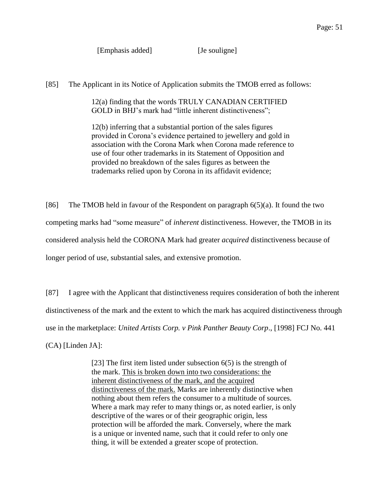[Emphasis added] [Je souligne]

[85] The Applicant in its Notice of Application submits the TMOB erred as follows:

12(a) finding that the words TRULY CANADIAN CERTIFIED GOLD in BHJ's mark had "little inherent distinctiveness":

12(b) inferring that a substantial portion of the sales figures provided in Corona's evidence pertained to jewellery and gold in association with the Corona Mark when Corona made reference to use of four other trademarks in its Statement of Opposition and provided no breakdown of the sales figures as between the trademarks relied upon by Corona in its affidavit evidence;

[86] The TMOB held in favour of the Respondent on paragraph 6(5)(a). It found the two competing marks had "some measure" of *inherent* distinctiveness. However, the TMOB in its considered analysis held the CORONA Mark had greater *acquired* distinctiveness because of longer period of use, substantial sales, and extensive promotion.

[87] I agree with the Applicant that distinctiveness requires consideration of both the inherent distinctiveness of the mark and the extent to which the mark has acquired distinctiveness through use in the marketplace: *United Artists Corp. v Pink Panther Beauty Corp*., [1998] FCJ No. 441 (CA) [Linden JA]:

> [23] The first item listed under subsection 6(5) is the strength of the mark. This is broken down into two considerations: the inherent distinctiveness of the mark, and the acquired distinctiveness of the mark. Marks are inherently distinctive when nothing about them refers the consumer to a multitude of sources. Where a mark may refer to many things or, as noted earlier, is only descriptive of the wares or of their geographic origin, less protection will be afforded the mark. Conversely, where the mark is a unique or invented name, such that it could refer to only one thing, it will be extended a greater scope of protection.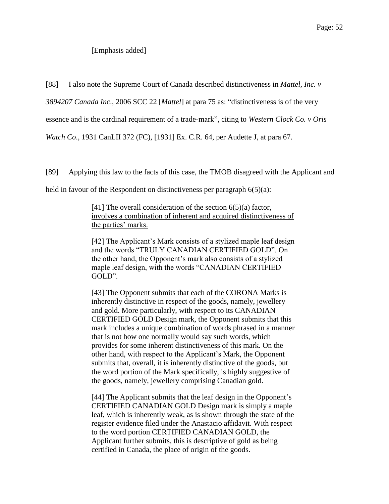### [Emphasis added]

[88] I also note the Supreme Court of Canada described distinctiveness in *Mattel, Inc. v* 

*3894207 Canada Inc*., 2006 SCC 22 [*Mattel*] at para 75 as: "distinctiveness is of the very

essence and is the cardinal requirement of a trade-mark", citing to *Western Clock Co. v Oris* 

*Watch Co*., 1931 CanLII 372 (FC), [1931] Ex. C.R. 64, per Audette J, at para 67.

[89] Applying this law to the facts of this case, the TMOB disagreed with the Applicant and

held in favour of the Respondent on distinctiveness per paragraph  $6(5)(a)$ :

[41] The overall consideration of the section 6(5)(a) factor, involves a combination of inherent and acquired distinctiveness of the parties' marks.

[42] The Applicant's Mark consists of a stylized maple leaf design and the words "TRULY CANADIAN CERTIFIED GOLD". On the other hand, the Opponent's mark also consists of a stylized maple leaf design, with the words "CANADIAN CERTIFIED GOLD".

[43] The Opponent submits that each of the CORONA Marks is inherently distinctive in respect of the goods, namely, jewellery and gold. More particularly, with respect to its CANADIAN CERTIFIED GOLD Design mark, the Opponent submits that this mark includes a unique combination of words phrased in a manner that is not how one normally would say such words, which provides for some inherent distinctiveness of this mark. On the other hand, with respect to the Applicant's Mark, the Opponent submits that, overall, it is inherently distinctive of the goods, but the word portion of the Mark specifically, is highly suggestive of the goods, namely, jewellery comprising Canadian gold.

[44] The Applicant submits that the leaf design in the Opponent's CERTIFIED CANADIAN GOLD Design mark is simply a maple leaf, which is inherently weak, as is shown through the state of the register evidence filed under the Anastacio affidavit. With respect to the word portion CERTIFIED CANADIAN GOLD, the Applicant further submits, this is descriptive of gold as being certified in Canada, the place of origin of the goods.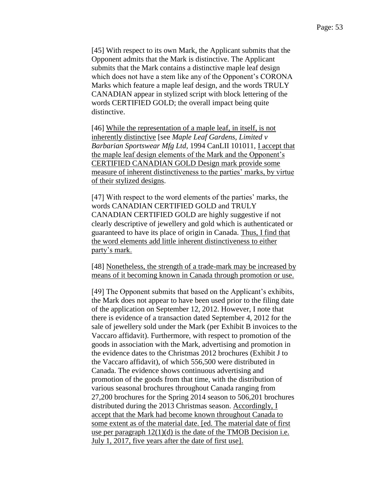[45] With respect to its own Mark, the Applicant submits that the Opponent admits that the Mark is distinctive. The Applicant submits that the Mark contains a distinctive maple leaf design which does not have a stem like any of the Opponent's CORONA Marks which feature a maple leaf design, and the words TRULY CANADIAN appear in stylized script with block lettering of the words CERTIFIED GOLD; the overall impact being quite distinctive.

[46] While the representation of a maple leaf, in itself, is not inherently distinctive [see *Maple Leaf Gardens, Limited v Barbarian Sportswear Mfg Ltd*, 1994 CanLII 101011, I accept that the maple leaf design elements of the Mark and the Opponent's CERTIFIED CANADIAN GOLD Design mark provide some measure of inherent distinctiveness to the parties' marks, by virtue of their stylized designs.

[47] With respect to the word elements of the parties' marks, the words CANADIAN CERTIFIED GOLD and TRULY CANADIAN CERTIFIED GOLD are highly suggestive if not clearly descriptive of jewellery and gold which is authenticated or guaranteed to have its place of origin in Canada. Thus, I find that the word elements add little inherent distinctiveness to either party's mark.

[48] Nonetheless, the strength of a trade-mark may be increased by means of it becoming known in Canada through promotion or use.

[49] The Opponent submits that based on the Applicant's exhibits, the Mark does not appear to have been used prior to the filing date of the application on September 12, 2012. However, I note that there is evidence of a transaction dated September 4, 2012 for the sale of jewellery sold under the Mark (per Exhibit B invoices to the Vaccaro affidavit). Furthermore, with respect to promotion of the goods in association with the Mark, advertising and promotion in the evidence dates to the Christmas 2012 brochures (Exhibit J to the Vaccaro affidavit), of which 556,500 were distributed in Canada. The evidence shows continuous advertising and promotion of the goods from that time, with the distribution of various seasonal brochures throughout Canada ranging from 27,200 brochures for the Spring 2014 season to 506,201 brochures distributed during the 2013 Christmas season. Accordingly, I accept that the Mark had become known throughout Canada to some extent as of the material date. [ed. The material date of first use per paragraph  $12(1)(d)$  is the date of the TMOB Decision i.e. July 1, 2017, five years after the date of first use].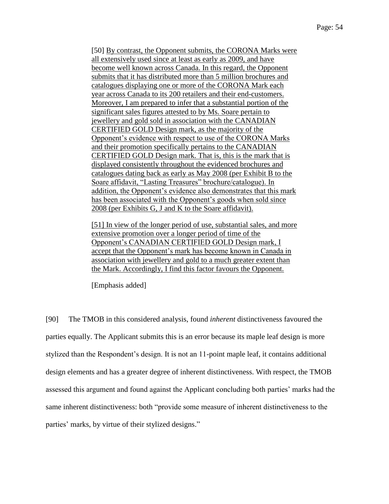[50] By contrast, the Opponent submits, the CORONA Marks were all extensively used since at least as early as 2009, and have become well known across Canada. In this regard, the Opponent submits that it has distributed more than 5 million brochures and catalogues displaying one or more of the CORONA Mark each year across Canada to its 200 retailers and their end-customers. Moreover, I am prepared to infer that a substantial portion of the significant sales figures attested to by Ms. Soare pertain to jewellery and gold sold in association with the CANADIAN CERTIFIED GOLD Design mark, as the majority of the Opponent's evidence with respect to use of the CORONA Marks and their promotion specifically pertains to the CANADIAN CERTIFIED GOLD Design mark. That is, this is the mark that is displayed consistently throughout the evidenced brochures and catalogues dating back as early as May 2008 (per Exhibit B to the Soare affidavit, "Lasting Treasures" brochure/catalogue). In addition, the Opponent's evidence also demonstrates that this mark has been associated with the Opponent's goods when sold since 2008 (per Exhibits G, J and K to the Soare affidavit).

[51] In view of the longer period of use, substantial sales, and more extensive promotion over a longer period of time of the Opponent's CANADIAN CERTIFIED GOLD Design mark, I accept that the Opponent's mark has become known in Canada in association with jewellery and gold to a much greater extent than the Mark. Accordingly, I find this factor favours the Opponent.

[Emphasis added]

[90] The TMOB in this considered analysis, found *inherent* distinctiveness favoured the parties equally. The Applicant submits this is an error because its maple leaf design is more stylized than the Respondent's design. It is not an 11-point maple leaf, it contains additional design elements and has a greater degree of inherent distinctiveness. With respect, the TMOB assessed this argument and found against the Applicant concluding both parties' marks had the same inherent distinctiveness: both "provide some measure of inherent distinctiveness to the parties' marks, by virtue of their stylized designs."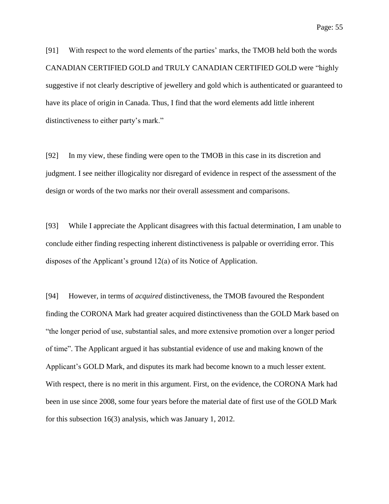[91] With respect to the word elements of the parties' marks, the TMOB held both the words CANADIAN CERTIFIED GOLD and TRULY CANADIAN CERTIFIED GOLD were "highly suggestive if not clearly descriptive of jewellery and gold which is authenticated or guaranteed to have its place of origin in Canada. Thus, I find that the word elements add little inherent distinctiveness to either party's mark."

[92] In my view, these finding were open to the TMOB in this case in its discretion and judgment. I see neither illogicality nor disregard of evidence in respect of the assessment of the design or words of the two marks nor their overall assessment and comparisons.

[93] While I appreciate the Applicant disagrees with this factual determination, I am unable to conclude either finding respecting inherent distinctiveness is palpable or overriding error. This disposes of the Applicant's ground 12(a) of its Notice of Application.

[94] However, in terms of *acquired* distinctiveness, the TMOB favoured the Respondent finding the CORONA Mark had greater acquired distinctiveness than the GOLD Mark based on "the longer period of use, substantial sales, and more extensive promotion over a longer period of time". The Applicant argued it has substantial evidence of use and making known of the Applicant's GOLD Mark, and disputes its mark had become known to a much lesser extent. With respect, there is no merit in this argument. First, on the evidence, the CORONA Mark had been in use since 2008, some four years before the material date of first use of the GOLD Mark for this subsection 16(3) analysis, which was January 1, 2012.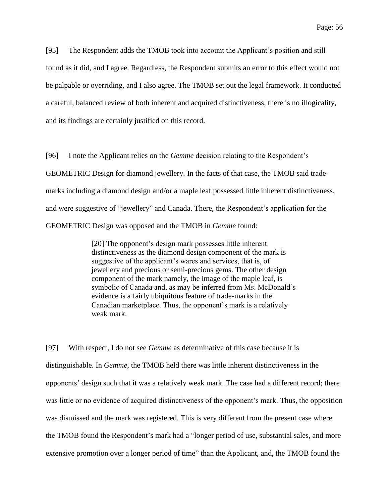[95] The Respondent adds the TMOB took into account the Applicant's position and still found as it did, and I agree. Regardless, the Respondent submits an error to this effect would not be palpable or overriding, and I also agree. The TMOB set out the legal framework. It conducted a careful, balanced review of both inherent and acquired distinctiveness, there is no illogicality, and its findings are certainly justified on this record.

[96] I note the Applicant relies on the *Gemme* decision relating to the Respondent's GEOMETRIC Design for diamond jewellery. In the facts of that case, the TMOB said trademarks including a diamond design and/or a maple leaf possessed little inherent distinctiveness, and were suggestive of "jewellery" and Canada. There, the Respondent's application for the GEOMETRIC Design was opposed and the TMOB in *Gemme* found:

> [20] The opponent's design mark possesses little inherent distinctiveness as the diamond design component of the mark is suggestive of the applicant's wares and services, that is, of jewellery and precious or semi-precious gems. The other design component of the mark namely, the image of the maple leaf, is symbolic of Canada and, as may be inferred from Ms. McDonald's evidence is a fairly ubiquitous feature of trade-marks in the Canadian marketplace. Thus, the opponent's mark is a relatively weak mark.

[97] With respect, I do not see *Gemme* as determinative of this case because it is distinguishable. In *Gemme*, the TMOB held there was little inherent distinctiveness in the opponents' design such that it was a relatively weak mark. The case had a different record; there was little or no evidence of acquired distinctiveness of the opponent's mark. Thus, the opposition was dismissed and the mark was registered. This is very different from the present case where the TMOB found the Respondent's mark had a "longer period of use, substantial sales, and more extensive promotion over a longer period of time" than the Applicant, and, the TMOB found the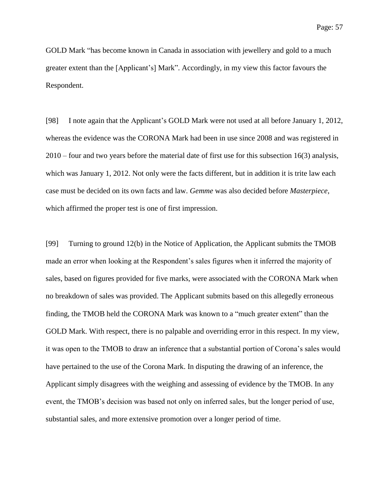GOLD Mark "has become known in Canada in association with jewellery and gold to a much greater extent than the [Applicant's] Mark". Accordingly, in my view this factor favours the Respondent.

[98] I note again that the Applicant's GOLD Mark were not used at all before January 1, 2012, whereas the evidence was the CORONA Mark had been in use since 2008 and was registered in 2010 – four and two years before the material date of first use for this subsection 16(3) analysis, which was January 1, 2012. Not only were the facts different, but in addition it is trite law each case must be decided on its own facts and law. *Gemme* was also decided before *Masterpiece*, which affirmed the proper test is one of first impression.

[99] Turning to ground 12(b) in the Notice of Application, the Applicant submits the TMOB made an error when looking at the Respondent's sales figures when it inferred the majority of sales, based on figures provided for five marks, were associated with the CORONA Mark when no breakdown of sales was provided. The Applicant submits based on this allegedly erroneous finding, the TMOB held the CORONA Mark was known to a "much greater extent" than the GOLD Mark. With respect, there is no palpable and overriding error in this respect. In my view, it was open to the TMOB to draw an inference that a substantial portion of Corona's sales would have pertained to the use of the Corona Mark. In disputing the drawing of an inference, the Applicant simply disagrees with the weighing and assessing of evidence by the TMOB. In any event, the TMOB's decision was based not only on inferred sales, but the longer period of use, substantial sales, and more extensive promotion over a longer period of time.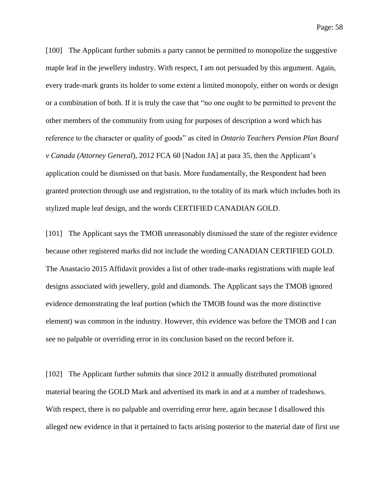Page: 58

[100] The Applicant further submits a party cannot be permitted to monopolize the suggestive maple leaf in the jewellery industry. With respect, I am not persuaded by this argument. Again, every trade-mark grants its holder to some extent a limited monopoly, either on words or design or a combination of both. If it is truly the case that "no one ought to be permitted to prevent the other members of the community from using for purposes of description a word which has reference to the character or quality of goods" as cited in *Ontario Teachers Pension Plan Board v Canada (Attorney General*), 2012 FCA 60 [Nadon JA] at para 35, then the Applicant's application could be dismissed on that basis. More fundamentally, the Respondent had been granted protection through use and registration, to the totality of its mark which includes both its stylized maple leaf design, and the words CERTIFIED CANADIAN GOLD.

[101] The Applicant says the TMOB unreasonably dismissed the state of the register evidence because other registered marks did not include the wording CANADIAN CERTIFIED GOLD. The Anastacio 2015 Affidavit provides a list of other trade-marks registrations with maple leaf designs associated with jewellery, gold and diamonds. The Applicant says the TMOB ignored evidence demonstrating the leaf portion (which the TMOB found was the more distinctive element) was common in the industry. However, this evidence was before the TMOB and I can see no palpable or overriding error in its conclusion based on the record before it.

[102] The Applicant further submits that since 2012 it annually distributed promotional material bearing the GOLD Mark and advertised its mark in and at a number of tradeshows. With respect, there is no palpable and overriding error here, again because I disallowed this alleged new evidence in that it pertained to facts arising posterior to the material date of first use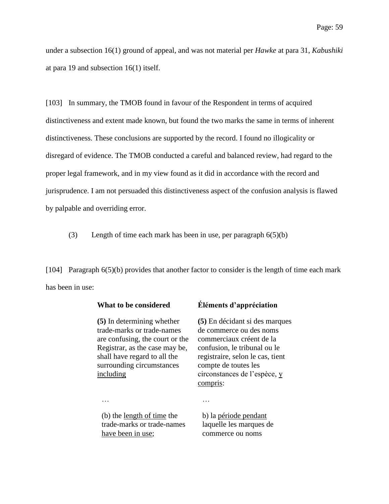under a subsection 16(1) ground of appeal, and was not material per *Hawke* at para 31, *Kabushiki* at para 19 and subsection 16(1) itself.

[103] In summary, the TMOB found in favour of the Respondent in terms of acquired distinctiveness and extent made known, but found the two marks the same in terms of inherent distinctiveness. These conclusions are supported by the record. I found no illogicality or disregard of evidence. The TMOB conducted a careful and balanced review, had regard to the proper legal framework, and in my view found as it did in accordance with the record and jurisprudence. I am not persuaded this distinctiveness aspect of the confusion analysis is flawed by palpable and overriding error.

(3) Length of time each mark has been in use, per paragraph 6(5)(b)

[104] Paragraph 6(5)(b) provides that another factor to consider is the length of time each mark has been in use:

**(5)** In determining whether trade-marks or trade-names are confusing, the court or the Registrar, as the case may be, shall have regard to all the surrounding circumstances including

## **What to be considered Éléments d'appréciation**

**(5)** En décidant si des marques de commerce ou des noms commerciaux créent de la confusion, le tribunal ou le registraire, selon le cas, tient compte de toutes les circonstances de l'espèce, y compris:

… …

(b) the length of time the trade-marks or trade-names have been in use;

b) la période pendant laquelle les marques de commerce ou noms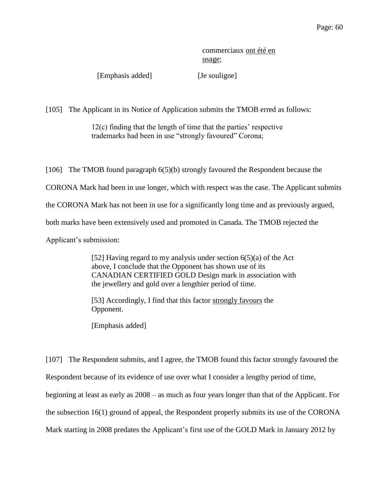commerciaux ont été en usage;

[Emphasis added] [Je souligne]

[105] The Applicant in its Notice of Application submits the TMOB erred as follows:

12(c) finding that the length of time that the parties' respective trademarks had been in use "strongly favoured" Corona;

[106] The TMOB found paragraph 6(5)(b) strongly favoured the Respondent because the CORONA Mark had been in use longer, which with respect was the case. The Applicant submits the CORONA Mark has not been in use for a significantly long time and as previously argued, both marks have been extensively used and promoted in Canada. The TMOB rejected the Applicant's submission:

> [52] Having regard to my analysis under section 6(5)(a) of the Act above, I conclude that the Opponent has shown use of its CANADIAN CERTIFIED GOLD Design mark in association with the jewellery and gold over a lengthier period of time.

[53] Accordingly, I find that this factor strongly favours the Opponent.

[Emphasis added]

[107] The Respondent submits, and I agree, the TMOB found this factor strongly favoured the Respondent because of its evidence of use over what I consider a lengthy period of time, beginning at least as early as 2008 – as much as four years longer than that of the Applicant. For the subsection 16(1) ground of appeal, the Respondent properly submits its use of the CORONA Mark starting in 2008 predates the Applicant's first use of the GOLD Mark in January 2012 by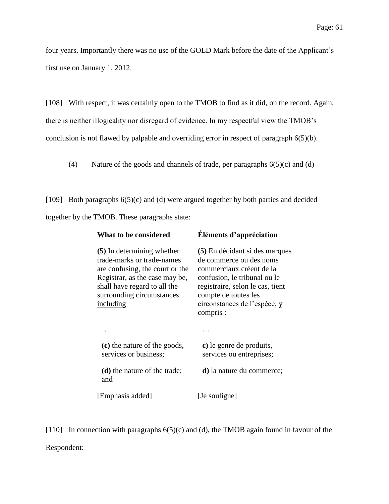four years. Importantly there was no use of the GOLD Mark before the date of the Applicant's first use on January 1, 2012.

[108] With respect, it was certainly open to the TMOB to find as it did, on the record. Again, there is neither illogicality nor disregard of evidence. In my respectful view the TMOB's conclusion is not flawed by palpable and overriding error in respect of paragraph 6(5)(b).

(4) Nature of the goods and channels of trade, per paragraphs 6(5)(c) and (d)

[109] Both paragraphs  $6(5)(c)$  and (d) were argued together by both parties and decided together by the TMOB. These paragraphs state:

| What to be considered                                                                                                                                                                                   | Éléments d'appréciation                                                                                                                                                                                                               |
|---------------------------------------------------------------------------------------------------------------------------------------------------------------------------------------------------------|---------------------------------------------------------------------------------------------------------------------------------------------------------------------------------------------------------------------------------------|
| (5) In determining whether<br>trade-marks or trade-names<br>are confusing, the court or the<br>Registrar, as the case may be,<br>shall have regard to all the<br>surrounding circumstances<br>including | (5) En décidant si des marques<br>de commerce ou des noms<br>commerciaux créent de la<br>confusion, le tribunal ou le<br>registraire, selon le cas, tient<br>compte de toutes les<br>circonstances de l'espèce, y<br><u>compris</u> : |
|                                                                                                                                                                                                         |                                                                                                                                                                                                                                       |
| (c) the <u>nature of the goods</u> ,<br>services or business;                                                                                                                                           | c) le genre de produits,<br>services ou entreprises;                                                                                                                                                                                  |
| ( <b>d</b> ) the <u>nature</u> of the trade;<br>and                                                                                                                                                     | <b>d</b> ) la <u>nature</u> du commerce;                                                                                                                                                                                              |
| [Emphasis added]                                                                                                                                                                                        | [Je souligne]                                                                                                                                                                                                                         |

[110] In connection with paragraphs 6(5)(c) and (d), the TMOB again found in favour of the Respondent: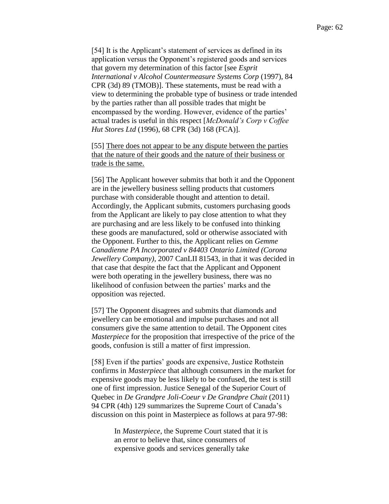[54] It is the Applicant's statement of services as defined in its application versus the Opponent's registered goods and services that govern my determination of this factor [see *Esprit International v Alcohol Countermeasure Systems Corp* (1997), 84 CPR (3d) 89 (TMOB)]. These statements, must be read with a view to determining the probable type of business or trade intended by the parties rather than all possible trades that might be encompassed by the wording. However, evidence of the parties' actual trades is useful in this respect [*McDonald's Corp v Coffee Hut Stores Ltd* (1996), 68 CPR (3d) 168 (FCA)].

[55] There does not appear to be any dispute between the parties that the nature of their goods and the nature of their business or trade is the same.

[56] The Applicant however submits that both it and the Opponent are in the jewellery business selling products that customers purchase with considerable thought and attention to detail. Accordingly, the Applicant submits, customers purchasing goods from the Applicant are likely to pay close attention to what they are purchasing and are less likely to be confused into thinking these goods are manufactured, sold or otherwise associated with the Opponent. Further to this, the Applicant relies on *Gemme Canadienne PA Incorporated v 84403 Ontario Limited (Corona Jewellery Company)*, 2007 CanLII 81543, in that it was decided in that case that despite the fact that the Applicant and Opponent were both operating in the jewellery business, there was no likelihood of confusion between the parties' marks and the opposition was rejected.

[57] The Opponent disagrees and submits that diamonds and jewellery can be emotional and impulse purchases and not all consumers give the same attention to detail. The Opponent cites *Masterpiece* for the proposition that irrespective of the price of the goods, confusion is still a matter of first impression.

[58] Even if the parties' goods are expensive, Justice Rothstein confirms in *Masterpiece* that although consumers in the market for expensive goods may be less likely to be confused, the test is still one of first impression. Justice Senegal of the Superior Court of Quebec in *De Grandpre Joli-Coeur v De Grandpre Chait* (2011) 94 CPR (4th) 129 summarizes the Supreme Court of Canada's discussion on this point in Masterpiece as follows at para 97-98:

> In *Masterpiece*, the Supreme Court stated that it is an error to believe that, since consumers of expensive goods and services generally take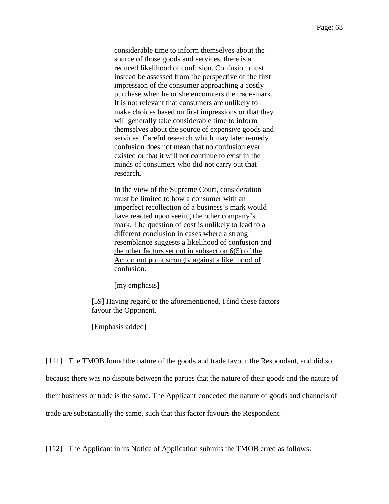considerable time to inform themselves about the source of those goods and services, there is a reduced likelihood of confusion. Confusion must instead be assessed from the perspective of the first impression of the consumer approaching a costly purchase when he or she encounters the trade-mark. It is not relevant that consumers are unlikely to make choices based on first impressions or that they will generally take considerable time to inform themselves about the source of expensive goods and services. Careful research which may later remedy confusion does not mean that no confusion ever existed or that it will not continue to exist in the minds of consumers who did not carry out that research.

In the view of the Supreme Court, consideration must be limited to how a consumer with an imperfect recollection of a business's mark would have reacted upon seeing the other company's mark. The question of cost is unlikely to lead to a different conclusion in cases where a strong resemblance suggests a likelihood of confusion and the other factors set out in subsection 6(5) of the Act do not point strongly against a likelihood of confusion.

[my emphasis]

[59] Having regard to the aforementioned, I find these factors favour the Opponent.

[Emphasis added]

[111] The TMOB found the nature of the goods and trade favour the Respondent, and did so because there was no dispute between the parties that the nature of their goods and the nature of their business or trade is the same. The Applicant conceded the nature of goods and channels of trade are substantially the same, such that this factor favours the Respondent.

[112] The Applicant in its Notice of Application submits the TMOB erred as follows: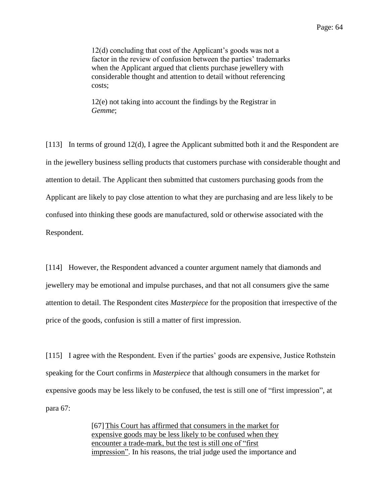12(d) concluding that cost of the Applicant's goods was not a factor in the review of confusion between the parties' trademarks when the Applicant argued that clients purchase jewellery with considerable thought and attention to detail without referencing costs;

12(e) not taking into account the findings by the Registrar in *Gemme*;

[113] In terms of ground 12(d), I agree the Applicant submitted both it and the Respondent are in the jewellery business selling products that customers purchase with considerable thought and attention to detail. The Applicant then submitted that customers purchasing goods from the Applicant are likely to pay close attention to what they are purchasing and are less likely to be confused into thinking these goods are manufactured, sold or otherwise associated with the Respondent.

[114] However, the Respondent advanced a counter argument namely that diamonds and jewellery may be emotional and impulse purchases, and that not all consumers give the same attention to detail. The Respondent cites *Masterpiece* for the proposition that irrespective of the price of the goods, confusion is still a matter of first impression.

[115] I agree with the Respondent. Even if the parties' goods are expensive, Justice Rothstein speaking for the Court confirms in *Masterpiece* that although consumers in the market for expensive goods may be less likely to be confused, the test is still one of "first impression", at para 67:

> [67]This Court has affirmed that consumers in the market for expensive goods may be less likely to be confused when they encounter a trade-mark, but the test is still one of "first impression". In his reasons, the trial judge used the importance and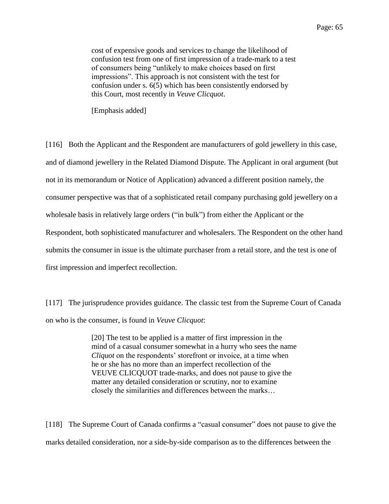cost of expensive goods and services to change the likelihood of confusion test from one of first impression of a trade-mark to a test of consumers being "unlikely to make choices based on first impressions". This approach is not consistent with the test for confusion under s. 6(5) which has been consistently endorsed by this Court, most recently in *Veuve Clicquot*.

[Emphasis added]

[116] Both the Applicant and the Respondent are manufacturers of gold jewellery in this case, and of diamond jewellery in the Related Diamond Dispute. The Applicant in oral argument (but not in its memorandum or Notice of Application) advanced a different position namely, the consumer perspective was that of a sophisticated retail company purchasing gold jewellery on a wholesale basis in relatively large orders ("in bulk") from either the Applicant or the Respondent, both sophisticated manufacturer and wholesalers. The Respondent on the other hand submits the consumer in issue is the ultimate purchaser from a retail store, and the test is one of first impression and imperfect recollection.

[117] The jurisprudence provides guidance. The classic test from the Supreme Court of Canada on who is the consumer, is found in *Veuve Clicquot*:

> [20] The test to be applied is a matter of first impression in the mind of a casual consumer somewhat in a hurry who sees the name *Cliquot* on the respondents' storefront or invoice, at a time when he or she has no more than an imperfect recollection of the VEUVE CLICQUOT trade-marks, and does not pause to give the matter any detailed consideration or scrutiny, nor to examine closely the similarities and differences between the marks…

[118] The Supreme Court of Canada confirms a "casual consumer" does not pause to give the marks detailed consideration, nor a side-by-side comparison as to the differences between the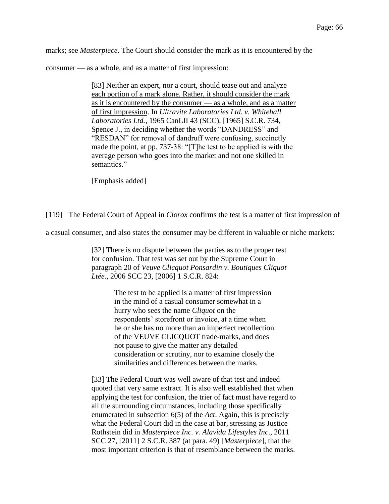marks; see *Masterpiece*. The Court should consider the mark as it is encountered by the

consumer — as a whole, and as a matter of first impression:

[83] Neither an expert, nor a court, should tease out and analyze each portion of a mark alone. Rather, it should consider the mark as it is encountered by the consumer — as a whole, and as a matter of first impression. In *Ultravite Laboratories Ltd. v. Whitehall Laboratories Ltd.*, 1965 CanLII 43 (SCC), [1965] S.C.R. 734, Spence J., in deciding whether the words "DANDRESS" and "RESDAN" for removal of dandruff were confusing, succinctly made the point, at pp. 737-38: "[T]he test to be applied is with the average person who goes into the market and not one skilled in semantics."

[Emphasis added]

[119] The Federal Court of Appeal in *Clorox* confirms the test is a matter of first impression of

a casual consumer, and also states the consumer may be different in valuable or niche markets:

[32] There is no dispute between the parties as to the proper test for confusion. That test was set out by the Supreme Court in paragraph 20 of *Veuve Clicquot Ponsardin v. Boutiques Cliquot Ltée.*, 2006 SCC 23, [2006] 1 S.C.R. 824:

> The test to be applied is a matter of first impression in the mind of a casual consumer somewhat in a hurry who sees the name *Cliquot* on the respondents' storefront or invoice, at a time when he or she has no more than an imperfect recollection of the VEUVE CLICQUOT trade-marks, and does not pause to give the matter any detailed consideration or scrutiny, nor to examine closely the similarities and differences between the marks.

[33] The Federal Court was well aware of that test and indeed quoted that very same extract. It is also well established that when applying the test for confusion, the trier of fact must have regard to all the surrounding circumstances, including those specifically enumerated in subsection 6(5) of the *Act*. Again, this is precisely what the Federal Court did in the case at bar, stressing as Justice Rothstein did in *Masterpiece Inc. v. Alavida Lifestyles Inc*., 2011 SCC 27, [2011] 2 S.C.R. 387 (at para. 49) [*Masterpiece*], that the most important criterion is that of resemblance between the marks.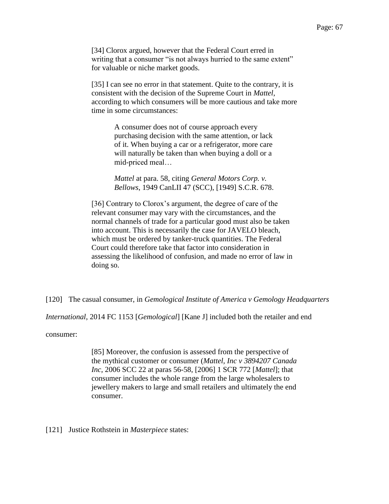[34] Clorox argued, however that the Federal Court erred in writing that a consumer "is not always hurried to the same extent" for valuable or niche market goods.

[35] I can see no error in that statement. Quite to the contrary, it is consistent with the decision of the Supreme Court in *Mattel*, according to which consumers will be more cautious and take more time in some circumstances:

> A consumer does not of course approach every purchasing decision with the same attention, or lack of it. When buying a car or a refrigerator, more care will naturally be taken than when buying a doll or a mid-priced meal…

> *Mattel* at para. 58, citing *General Motors Corp. v. Bellows*, 1949 CanLII 47 (SCC), [1949] S.C.R. 678.

[36] Contrary to Clorox's argument, the degree of care of the relevant consumer may vary with the circumstances, and the normal channels of trade for a particular good must also be taken into account. This is necessarily the case for JAVELO bleach, which must be ordered by tanker-truck quantities. The Federal Court could therefore take that factor into consideration in assessing the likelihood of confusion, and made no error of law in doing so.

[120] The casual consumer, in *Gemological Institute of America v Gemology Headquarters* 

*International*, 2014 FC 1153 [*Gemological*] [Kane J] included both the retailer and end

consumer:

[85] Moreover, the confusion is assessed from the perspective of the mythical customer or consumer (*Mattel, Inc v 3894207 Canada Inc*, 2006 SCC 22 at paras 56-58, [2006] 1 SCR 772 [*Mattel*]; that consumer includes the whole range from the large wholesalers to jewellery makers to large and small retailers and ultimately the end consumer.

[121] Justice Rothstein in *Masterpiece* states: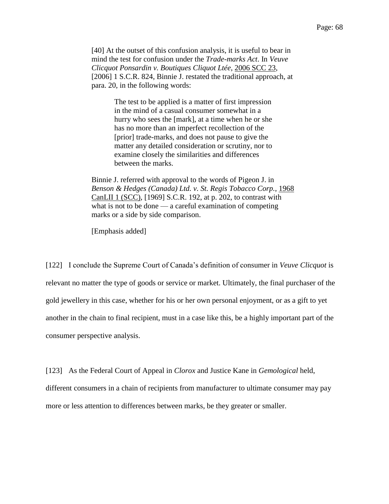[40] At the outset of this confusion analysis, it is useful to bear in mind the test for confusion under the *Trade-marks Act*. In *Veuve Clicquot Ponsardin v. Boutiques Cliquot Ltée*, 2006 SCC 23, [2006] 1 S.C.R. 824, Binnie J. restated the traditional approach, at para. 20, in the following words:

> The test to be applied is a matter of first impression in the mind of a casual consumer somewhat in a hurry who sees the [mark], at a time when he or she has no more than an imperfect recollection of the [prior] trade-marks, and does not pause to give the matter any detailed consideration or scrutiny, nor to examine closely the similarities and differences between the marks.

Binnie J. referred with approval to the words of Pigeon J. in *Benson & Hedges (Canada) Ltd. v. St. Regis Tobacco Corp.*, 1968 CanLII 1 (SCC), [1969] S.C.R. 192, at p. 202, to contrast with what is not to be done — a careful examination of competing marks or a side by side comparison.

[Emphasis added]

[122] I conclude the Supreme Court of Canada's definition of consumer in *Veuve Clicquot* is relevant no matter the type of goods or service or market. Ultimately, the final purchaser of the gold jewellery in this case, whether for his or her own personal enjoyment, or as a gift to yet another in the chain to final recipient, must in a case like this, be a highly important part of the consumer perspective analysis.

[123] As the Federal Court of Appeal in *Clorox* and Justice Kane in *Gemological* held, different consumers in a chain of recipients from manufacturer to ultimate consumer may pay more or less attention to differences between marks, be they greater or smaller.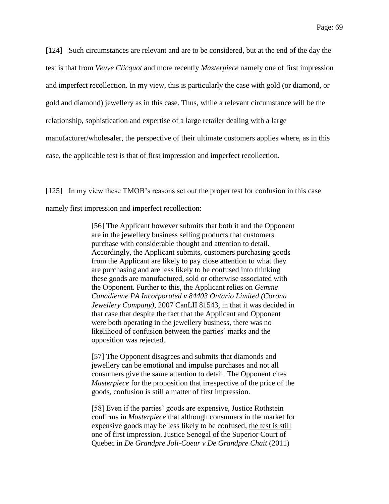[124] Such circumstances are relevant and are to be considered, but at the end of the day the test is that from *Veuve Clicquot* and more recently *Masterpiece* namely one of first impression and imperfect recollection. In my view, this is particularly the case with gold (or diamond, or gold and diamond) jewellery as in this case. Thus, while a relevant circumstance will be the relationship, sophistication and expertise of a large retailer dealing with a large manufacturer/wholesaler, the perspective of their ultimate customers applies where, as in this case, the applicable test is that of first impression and imperfect recollection.

[125] In my view these TMOB's reasons set out the proper test for confusion in this case namely first impression and imperfect recollection:

> [56] The Applicant however submits that both it and the Opponent are in the jewellery business selling products that customers purchase with considerable thought and attention to detail. Accordingly, the Applicant submits, customers purchasing goods from the Applicant are likely to pay close attention to what they are purchasing and are less likely to be confused into thinking these goods are manufactured, sold or otherwise associated with the Opponent. Further to this, the Applicant relies on *Gemme Canadienne PA Incorporated v 84403 Ontario Limited (Corona Jewellery Company)*, 2007 CanLII 81543, in that it was decided in that case that despite the fact that the Applicant and Opponent were both operating in the jewellery business, there was no likelihood of confusion between the parties' marks and the opposition was rejected.

> [57] The Opponent disagrees and submits that diamonds and jewellery can be emotional and impulse purchases and not all consumers give the same attention to detail. The Opponent cites *Masterpiece* for the proposition that irrespective of the price of the goods, confusion is still a matter of first impression.

> [58] Even if the parties' goods are expensive, Justice Rothstein confirms in *Masterpiece* that although consumers in the market for expensive goods may be less likely to be confused, the test is still one of first impression. Justice Senegal of the Superior Court of Quebec in *De Grandpre Joli-Coeur v De Grandpre Chait* (2011)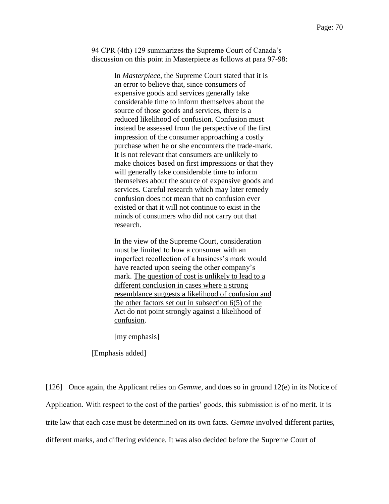94 CPR (4th) 129 summarizes the Supreme Court of Canada's discussion on this point in Masterpiece as follows at para 97-98:

> In *Masterpiece*, the Supreme Court stated that it is an error to believe that, since consumers of expensive goods and services generally take considerable time to inform themselves about the source of those goods and services, there is a reduced likelihood of confusion. Confusion must instead be assessed from the perspective of the first impression of the consumer approaching a costly purchase when he or she encounters the trade-mark. It is not relevant that consumers are unlikely to make choices based on first impressions or that they will generally take considerable time to inform themselves about the source of expensive goods and services. Careful research which may later remedy confusion does not mean that no confusion ever existed or that it will not continue to exist in the minds of consumers who did not carry out that research.

In the view of the Supreme Court, consideration must be limited to how a consumer with an imperfect recollection of a business's mark would have reacted upon seeing the other company's mark. The question of cost is unlikely to lead to a different conclusion in cases where a strong resemblance suggests a likelihood of confusion and the other factors set out in subsection 6(5) of the Act do not point strongly against a likelihood of confusion.

[my emphasis]

[Emphasis added]

[126] Once again, the Applicant relies on *Gemme*, and does so in ground 12(e) in its Notice of Application. With respect to the cost of the parties' goods, this submission is of no merit. It is trite law that each case must be determined on its own facts. *Gemme* involved different parties, different marks, and differing evidence. It was also decided before the Supreme Court of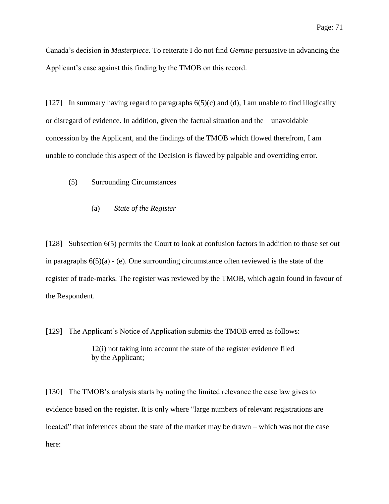Canada's decision in *Masterpiece*. To reiterate I do not find *Gemme* persuasive in advancing the Applicant's case against this finding by the TMOB on this record.

[127] In summary having regard to paragraphs  $6(5)(c)$  and (d), I am unable to find illogicality or disregard of evidence. In addition, given the factual situation and the – unavoidable – concession by the Applicant, and the findings of the TMOB which flowed therefrom, I am unable to conclude this aspect of the Decision is flawed by palpable and overriding error.

- (5) Surrounding Circumstances
	- (a) *State of the Register*

[128] Subsection 6(5) permits the Court to look at confusion factors in addition to those set out in paragraphs  $6(5)(a)$  - (e). One surrounding circumstance often reviewed is the state of the register of trade-marks. The register was reviewed by the TMOB, which again found in favour of the Respondent.

[129] The Applicant's Notice of Application submits the TMOB erred as follows: 12(i) not taking into account the state of the register evidence filed by the Applicant;

[130] The TMOB's analysis starts by noting the limited relevance the case law gives to evidence based on the register. It is only where "large numbers of relevant registrations are located" that inferences about the state of the market may be drawn – which was not the case here: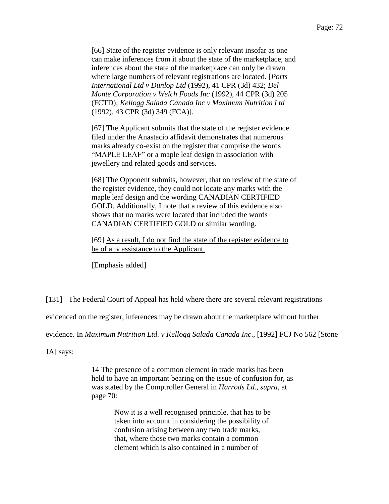[66] State of the register evidence is only relevant insofar as one can make inferences from it about the state of the marketplace, and inferences about the state of the marketplace can only be drawn where large numbers of relevant registrations are located. [*Ports International Ltd v Dunlop Ltd* (1992), 41 CPR (3d) 432; *Del Monte Corporation v Welch Foods Inc* (1992), 44 CPR (3d) 205 (FCTD); *Kellogg Salada Canada Inc v Maximum Nutrition Ltd* (1992), 43 CPR (3d) 349 (FCA)].

[67] The Applicant submits that the state of the register evidence filed under the Anastacio affidavit demonstrates that numerous marks already co-exist on the register that comprise the words "MAPLE LEAF" or a maple leaf design in association with jewellery and related goods and services.

[68] The Opponent submits, however, that on review of the state of the register evidence, they could not locate any marks with the maple leaf design and the wording CANADIAN CERTIFIED GOLD. Additionally, I note that a review of this evidence also shows that no marks were located that included the words CANADIAN CERTIFIED GOLD or similar wording.

[69] As a result, I do not find the state of the register evidence to be of any assistance to the Applicant.

[Emphasis added]

[131] The Federal Court of Appeal has held where there are several relevant registrations

evidenced on the register, inferences may be drawn about the marketplace without further

evidence. In *Maximum Nutrition Ltd. v Kellogg Salada Canada Inc*., [1992] FCJ No 562 [Stone

JA] says:

14 The presence of a common element in trade marks has been held to have an important bearing on the issue of confusion for, as was stated by the Comptroller General in *Harrods Ld., supra*, at page 70:

> Now it is a well recognised principle, that has to be taken into account in considering the possibility of confusion arising between any two trade marks, that, where those two marks contain a common element which is also contained in a number of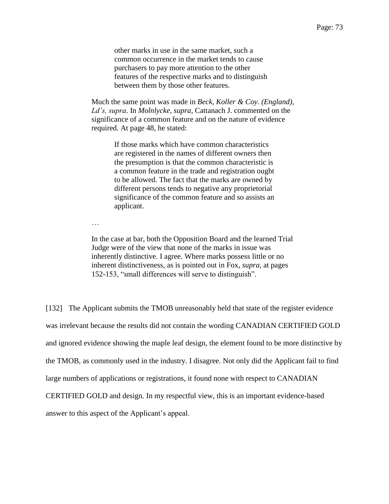other marks in use in the same market, such a common occurrence in the market tends to cause purchasers to pay more attention to the other features of the respective marks and to distinguish between them by those other features.

Much the same point was made in *Beck, Koller & Coy. (England), Ld's, supra*. In *Molnlycke, supra*, Cattanach J. commented on the significance of a common feature and on the nature of evidence required. At page 48, he stated:

> If those marks which have common characteristics are registered in the names of different owners then the presumption is that the common characteristic is a common feature in the trade and registration ought to be allowed. The fact that the marks are owned by different persons tends to negative any proprietorial significance of the common feature and so assists an applicant.

…

In the case at bar, both the Opposition Board and the learned Trial Judge were of the view that none of the marks in issue was inherently distinctive. I agree. Where marks possess little or no inherent distinctiveness, as is pointed out in Fox, *supra*, at pages 152-153, "small differences will serve to distinguish".

[132] The Applicant submits the TMOB unreasonably held that state of the register evidence was irrelevant because the results did not contain the wording CANADIAN CERTIFIED GOLD and ignored evidence showing the maple leaf design, the element found to be more distinctive by the TMOB, as commonly used in the industry. I disagree. Not only did the Applicant fail to find large numbers of applications or registrations, it found none with respect to CANADIAN CERTIFIED GOLD and design. In my respectful view, this is an important evidence-based answer to this aspect of the Applicant's appeal.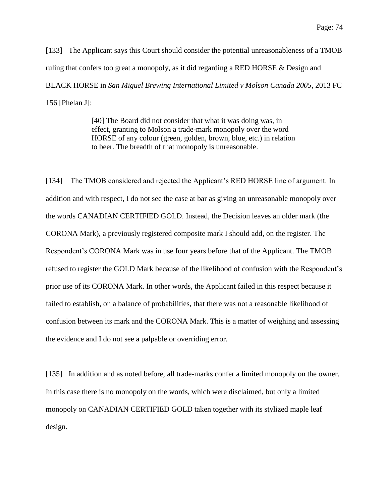[133] The Applicant says this Court should consider the potential unreasonableness of a TMOB ruling that confers too great a monopoly, as it did regarding a RED HORSE & Design and BLACK HORSE in *San Miguel Brewing International Limited v Molson Canada 2005*, 2013 FC 156 [Phelan J]:

> [40] The Board did not consider that what it was doing was, in effect, granting to Molson a trade-mark monopoly over the word HORSE of any colour (green, golden, brown, blue, etc.) in relation to beer. The breadth of that monopoly is unreasonable.

[134] The TMOB considered and rejected the Applicant's RED HORSE line of argument. In addition and with respect, I do not see the case at bar as giving an unreasonable monopoly over the words CANADIAN CERTIFIED GOLD. Instead, the Decision leaves an older mark (the CORONA Mark), a previously registered composite mark I should add, on the register. The Respondent's CORONA Mark was in use four years before that of the Applicant. The TMOB refused to register the GOLD Mark because of the likelihood of confusion with the Respondent's prior use of its CORONA Mark. In other words, the Applicant failed in this respect because it failed to establish, on a balance of probabilities, that there was not a reasonable likelihood of confusion between its mark and the CORONA Mark. This is a matter of weighing and assessing the evidence and I do not see a palpable or overriding error.

[135] In addition and as noted before, all trade-marks confer a limited monopoly on the owner. In this case there is no monopoly on the words, which were disclaimed, but only a limited monopoly on CANADIAN CERTIFIED GOLD taken together with its stylized maple leaf design.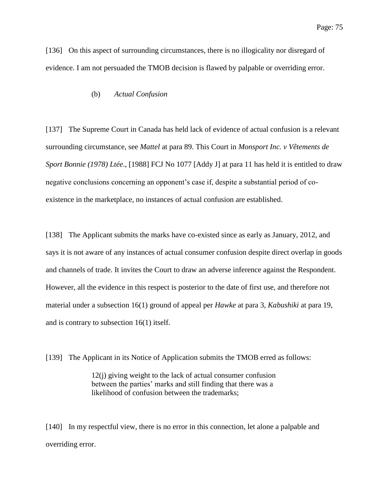[136] On this aspect of surrounding circumstances, there is no illogicality nor disregard of evidence. I am not persuaded the TMOB decision is flawed by palpable or overriding error.

#### (b) *Actual Confusion*

[137] The Supreme Court in Canada has held lack of evidence of actual confusion is a relevant surrounding circumstance, see *Mattel* at para 89. This Court in *Monsport Inc. v Vêtements de Sport Bonnie (1978) Ltée*., [1988] FCJ No 1077 [Addy J] at para 11 has held it is entitled to draw negative conclusions concerning an opponent's case if, despite a substantial period of coexistence in the marketplace, no instances of actual confusion are established.

[138] The Applicant submits the marks have co-existed since as early as January, 2012, and says it is not aware of any instances of actual consumer confusion despite direct overlap in goods and channels of trade. It invites the Court to draw an adverse inference against the Respondent. However, all the evidence in this respect is posterior to the date of first use, and therefore not material under a subsection 16(1) ground of appeal per *Hawke* at para 3, *Kabushiki* at para 19, and is contrary to subsection 16(1) itself.

[139] The Applicant in its Notice of Application submits the TMOB erred as follows:

12(j) giving weight to the lack of actual consumer confusion between the parties' marks and still finding that there was a likelihood of confusion between the trademarks;

[140] In my respectful view, there is no error in this connection, let alone a palpable and overriding error.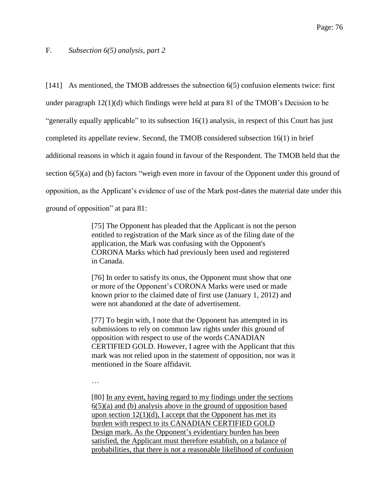## F. *Subsection 6(5) analysis, part 2*

[141] As mentioned, the TMOB addresses the subsection 6(5) confusion elements twice: first under paragraph 12(1)(d) which findings were held at para 81 of the TMOB's Decision to be "generally equally applicable" to its subsection 16(1) analysis, in respect of this Court has just completed its appellate review. Second, the TMOB considered subsection 16(1) in brief additional reasons in which it again found in favour of the Respondent. The TMOB held that the section 6(5)(a) and (b) factors "weigh even more in favour of the Opponent under this ground of opposition, as the Applicant's evidence of use of the Mark post-dates the material date under this ground of opposition" at para 81:

> [75] The Opponent has pleaded that the Applicant is not the person entitled to registration of the Mark since as of the filing date of the application, the Mark was confusing with the Opponent's CORONA Marks which had previously been used and registered in Canada.

[76] In order to satisfy its onus, the Opponent must show that one or more of the Opponent's CORONA Marks were used or made known prior to the claimed date of first use (January 1, 2012) and were not abandoned at the date of advertisement.

[77] To begin with, I note that the Opponent has attempted in its submissions to rely on common law rights under this ground of opposition with respect to use of the words CANADIAN CERTIFIED GOLD. However, I agree with the Applicant that this mark was not relied upon in the statement of opposition, nor was it mentioned in the Soare affidavit.

…

[80] In any event, having regard to my findings under the sections 6(5)(a) and (b) analysis above in the ground of opposition based upon section  $12(1)(d)$ , I accept that the Opponent has met its burden with respect to its CANADIAN CERTIFIED GOLD Design mark. As the Opponent's evidentiary burden has been satisfied, the Applicant must therefore establish, on a balance of probabilities, that there is not a reasonable likelihood of confusion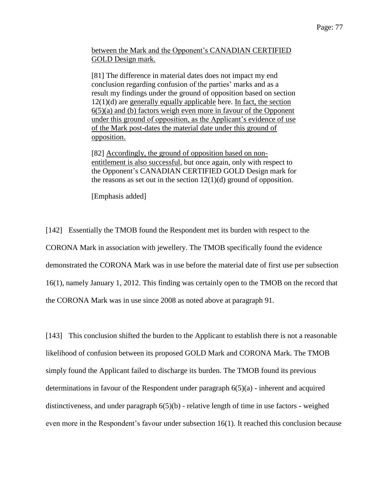between the Mark and the Opponent's CANADIAN CERTIFIED GOLD Design mark.

[81] The difference in material dates does not impact my end conclusion regarding confusion of the parties' marks and as a result my findings under the ground of opposition based on section 12(1)(d) are generally equally applicable here. In fact, the section 6(5)(a) and (b) factors weigh even more in favour of the Opponent under this ground of opposition, as the Applicant's evidence of use of the Mark post-dates the material date under this ground of opposition.

[82] Accordingly, the ground of opposition based on nonentitlement is also successful, but once again, only with respect to the Opponent's CANADIAN CERTIFIED GOLD Design mark for the reasons as set out in the section  $12(1)(d)$  ground of opposition.

[Emphasis added]

[142] Essentially the TMOB found the Respondent met its burden with respect to the CORONA Mark in association with jewellery. The TMOB specifically found the evidence demonstrated the CORONA Mark was in use before the material date of first use per subsection 16(1), namely January 1, 2012. This finding was certainly open to the TMOB on the record that the CORONA Mark was in use since 2008 as noted above at paragraph 91.

[143] This conclusion shifted the burden to the Applicant to establish there is not a reasonable likelihood of confusion between its proposed GOLD Mark and CORONA Mark. The TMOB simply found the Applicant failed to discharge its burden. The TMOB found its previous determinations in favour of the Respondent under paragraph 6(5)(a) - inherent and acquired distinctiveness, and under paragraph 6(5)(b) - relative length of time in use factors - weighed even more in the Respondent's favour under subsection 16(1). It reached this conclusion because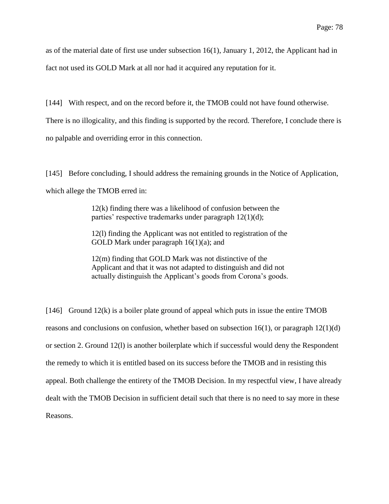as of the material date of first use under subsection 16(1), January 1, 2012, the Applicant had in fact not used its GOLD Mark at all nor had it acquired any reputation for it.

[144] With respect, and on the record before it, the TMOB could not have found otherwise.

There is no illogicality, and this finding is supported by the record. Therefore, I conclude there is no palpable and overriding error in this connection.

[145] Before concluding, I should address the remaining grounds in the Notice of Application, which allege the TMOB erred in:

> 12(k) finding there was a likelihood of confusion between the parties' respective trademarks under paragraph 12(1)(d);

12(l) finding the Applicant was not entitled to registration of the GOLD Mark under paragraph 16(1)(a); and

12(m) finding that GOLD Mark was not distinctive of the Applicant and that it was not adapted to distinguish and did not actually distinguish the Applicant's goods from Corona's goods.

[146] Ground 12(k) is a boiler plate ground of appeal which puts in issue the entire TMOB reasons and conclusions on confusion, whether based on subsection  $16(1)$ , or paragraph  $12(1)(d)$ or section 2. Ground 12(l) is another boilerplate which if successful would deny the Respondent the remedy to which it is entitled based on its success before the TMOB and in resisting this appeal. Both challenge the entirety of the TMOB Decision. In my respectful view, I have already dealt with the TMOB Decision in sufficient detail such that there is no need to say more in these Reasons.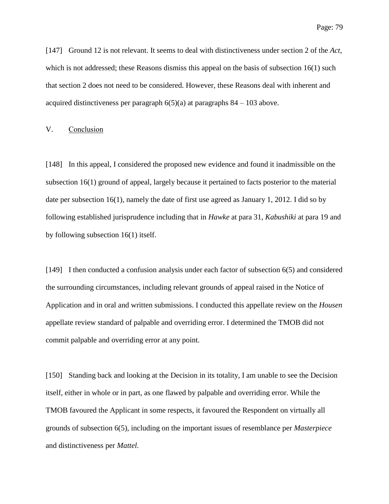[147] Ground 12 is not relevant. It seems to deal with distinctiveness under section 2 of the *Act*, which is not addressed; these Reasons dismiss this appeal on the basis of subsection 16(1) such that section 2 does not need to be considered. However, these Reasons deal with inherent and acquired distinctiveness per paragraph  $6(5)(a)$  at paragraphs  $84 - 103$  above.

#### V. Conclusion

[148] In this appeal, I considered the proposed new evidence and found it inadmissible on the subsection 16(1) ground of appeal, largely because it pertained to facts posterior to the material date per subsection 16(1), namely the date of first use agreed as January 1, 2012. I did so by following established jurisprudence including that in *Hawke* at para 31, *Kabushiki* at para 19 and by following subsection 16(1) itself.

[149] I then conducted a confusion analysis under each factor of subsection 6(5) and considered the surrounding circumstances, including relevant grounds of appeal raised in the Notice of Application and in oral and written submissions. I conducted this appellate review on the *Housen* appellate review standard of palpable and overriding error. I determined the TMOB did not commit palpable and overriding error at any point.

[150] Standing back and looking at the Decision in its totality, I am unable to see the Decision itself, either in whole or in part, as one flawed by palpable and overriding error. While the TMOB favoured the Applicant in some respects, it favoured the Respondent on virtually all grounds of subsection 6(5), including on the important issues of resemblance per *Masterpiece* and distinctiveness per *Mattel.*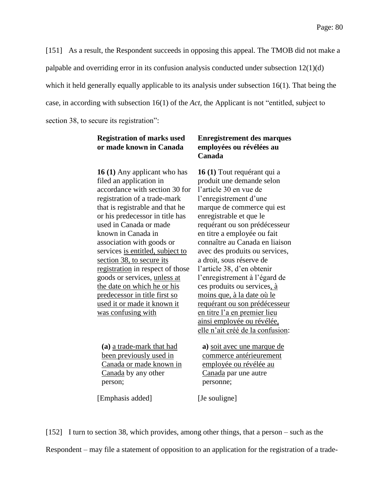[151] As a result, the Respondent succeeds in opposing this appeal. The TMOB did not make a palpable and overriding error in its confusion analysis conducted under subsection 12(1)(d) which it held generally equally applicable to its analysis under subsection 16(1). That being the case, in according with subsection 16(1) of the *Act,* the Applicant is not "entitled, subject to section 38, to secure its registration":

# **Registration of marks used or made known in Canada**

**16 (1)** Any applicant who has filed an application in accordance with section 30 for registration of a trade-mark that is registrable and that he or his predecessor in title has used in Canada or made known in Canada in association with goods or services is entitled, subject to section 38, to secure its registration in respect of those goods or services, unless at the date on which he or his predecessor in title first so used it or made it known it was confusing with

**(a)** a trade-mark that had been previously used in Canada or made known in Canada by any other person;

[Emphasis added] [Je souligne]

**Enregistrement des marques employées ou révélées au Canada**

**16 (1)** Tout requérant qui a produit une demande selon l'article 30 en vue de l'enregistrement d'une marque de commerce qui est enregistrable et que le requérant ou son prédécesseur en titre a employée ou fait connaître au Canada en liaison avec des produits ou services, a droit, sous réserve de l'article 38, d'en obtenir l'enregistrement à l'égard de ces produits ou services, à moins que, à la date où le requérant ou son prédécesseur en titre l'a en premier lieu ainsi employée ou révélée, elle n'ait créé de la confusion:

**a)** soit avec une marque de commerce antérieurement employée ou révélée au Canada par une autre personne;

[152] I turn to section 38, which provides, among other things, that a person – such as the Respondent – may file a statement of opposition to an application for the registration of a trade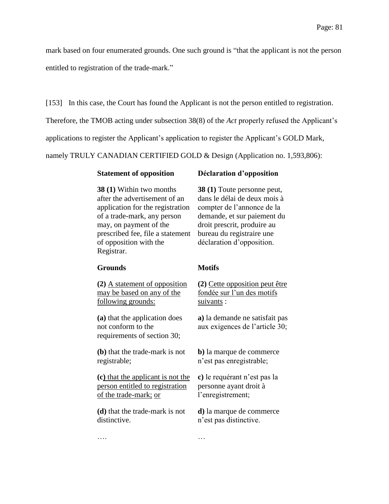mark based on four enumerated grounds. One such ground is "that the applicant is not the person entitled to registration of the trade-mark."

[153] In this case, the Court has found the Applicant is not the person entitled to registration.

Therefore, the TMOB acting under subsection 38(8) of the *Act* properly refused the Applicant's

applications to register the Applicant's application to register the Applicant's GOLD Mark,

namely TRULY CANADIAN CERTIFIED GOLD & Design (Application no. 1,593,806):

| <b>38 (1)</b> Within two months  |
|----------------------------------|
| after the advertisement of an    |
| application for the registration |
| of a trade-mark, any person      |
| may, on payment of the           |
| prescribed fee, file a statement |
| of opposition with the           |
| Registrar.                       |

## **Statement of opposition Déclaration d'opposition**

**38 (1)** Toute personne peut, dans le délai de deux mois à compter de l'annonce de la demande, et sur paiement du droit prescrit, produire au bureau du registraire une déclaration d'opposition.

#### **Grounds Motifs**

**(2)** A statement of opposition may be based on any of the following grounds:

**(a)** that the application does not conform to the requirements of section 30;

**(b)** that the trade-mark is not registrable;

**(c)** that the applicant is not the person entitled to registration of the trade-mark; or

**(d)** that the trade-mark is not distinctive.

…. …

**(2)** Cette opposition peut être fondée sur l'un des motifs suivants :

**a)** la demande ne satisfait pas aux exigences de l'article 30;

**b)** la marque de commerce n'est pas enregistrable;

**c)** le requérant n'est pas la personne ayant droit à l'enregistrement;

**d)** la marque de commerce n'est pas distinctive.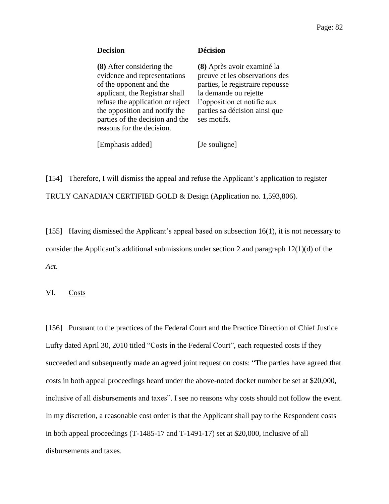| <b>Decision</b>                                                                                                                                                                                                                                             | Décision                                                                                                                                                                                                 |
|-------------------------------------------------------------------------------------------------------------------------------------------------------------------------------------------------------------------------------------------------------------|----------------------------------------------------------------------------------------------------------------------------------------------------------------------------------------------------------|
| (8) After considering the<br>evidence and representations<br>of the opponent and the<br>applicant, the Registrar shall<br>refuse the application or reject<br>the opposition and notify the<br>parties of the decision and the<br>reasons for the decision. | (8) Après avoir examiné la<br>preuve et les observations des<br>parties, le registraire repousse<br>la demande ou rejette<br>l'opposition et notifie aux<br>parties sa décision ainsi que<br>ses motifs. |
|                                                                                                                                                                                                                                                             |                                                                                                                                                                                                          |

[Emphasis added] [Je souligne]

[154] Therefore, I will dismiss the appeal and refuse the Applicant's application to register TRULY CANADIAN CERTIFIED GOLD & Design (Application no. 1,593,806).

[155] Having dismissed the Applicant's appeal based on subsection 16(1), it is not necessary to consider the Applicant's additional submissions under section 2 and paragraph 12(1)(d) of the *Act*.

VI. Costs

[156] Pursuant to the practices of the Federal Court and the Practice Direction of Chief Justice Lufty dated April 30, 2010 titled "Costs in the Federal Court", each requested costs if they succeeded and subsequently made an agreed joint request on costs: "The parties have agreed that costs in both appeal proceedings heard under the above-noted docket number be set at \$20,000, inclusive of all disbursements and taxes". I see no reasons why costs should not follow the event. In my discretion, a reasonable cost order is that the Applicant shall pay to the Respondent costs in both appeal proceedings (T-1485-17 and T-1491-17) set at \$20,000, inclusive of all disbursements and taxes.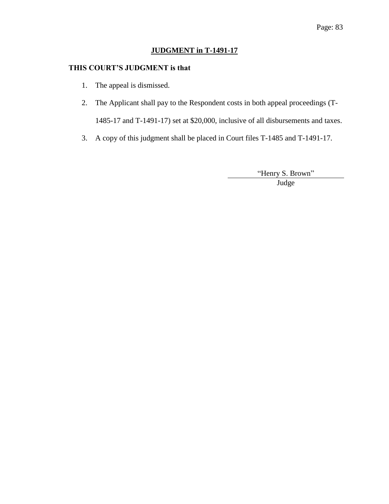# **JUDGMENT in T-1491-17**

# **THIS COURT'S JUDGMENT is that**

- 1. The appeal is dismissed.
- 2. The Applicant shall pay to the Respondent costs in both appeal proceedings (T-1485-17 and T-1491-17) set at \$20,000, inclusive of all disbursements and taxes.
- 3. A copy of this judgment shall be placed in Court files T-1485 and T-1491-17.

"Henry S. Brown" Judge